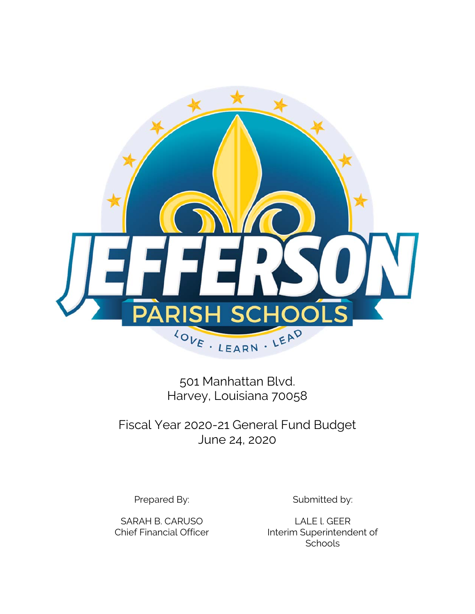

501 Manhattan Blvd. Harvey, Louisiana 70058

Fiscal Year 2020-21 General Fund Budget June 24, 2020

SARAH B. CARUSO LALE L. GEER

Prepared By: Submitted by:

Chief Financial Officer Interim Superintendent of **Schools**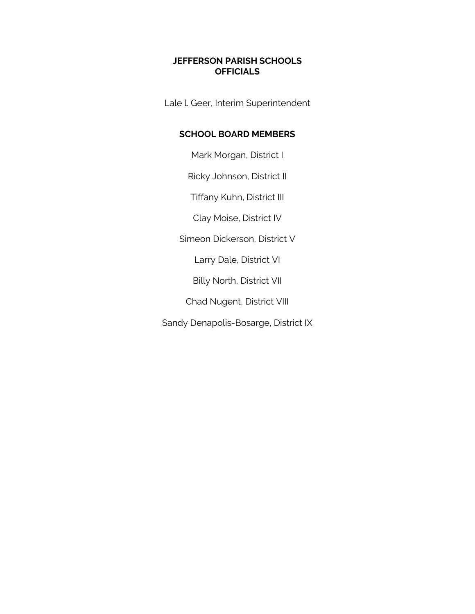# **JEFFERSON PARISH SCHOOLS OFFICIALS**

Lale l. Geer, Interim Superintendent

# **SCHOOL BOARD MEMBERS**

Mark Morgan, District I

Ricky Johnson, District II

Tiffany Kuhn, District III

Clay Moise, District IV

Simeon Dickerson, District V

Larry Dale, District VI

Billy North, District VII

Chad Nugent, District VIII

Sandy Denapolis-Bosarge, District IX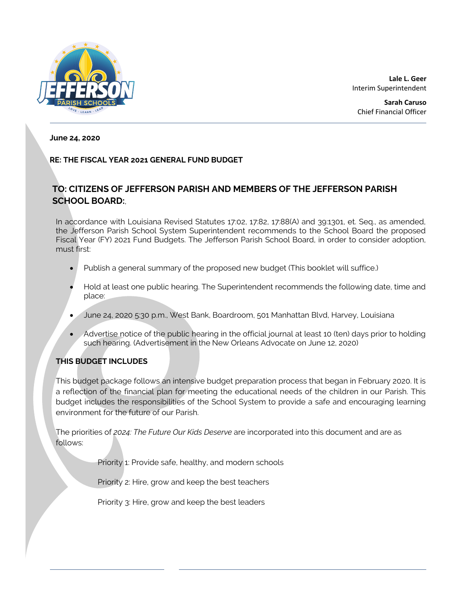

**Lale L. Geer** Interim Superintendent

**Sarah Caruso** Chief Financial Officer

#### **June 24, 2020**

### **RE: THE FISCAL YEAR 2021 GENERAL FUND BUDGET**

# **TO: CITIZENS OF JEFFERSON PARISH AND MEMBERS OF THE JEFFERSON PARISH SCHOOL BOARD:**,

In accordance with Louisiana Revised Statutes 17:02, 17:82, 17:88(A) and 39:1301, et. Seq., as amended, the Jefferson Parish School System Superintendent recommends to the School Board the proposed Fiscal Year (FY) 2021 Fund Budgets. The Jefferson Parish School Board, in order to consider adoption, must first:

- Publish a general summary of the proposed new budget (This booklet will suffice.)
- Hold at least one public hearing. The Superintendent recommends the following date, time and place:
- June 24, 2020 5:30 p.m., West Bank, Boardroom, 501 Manhattan Blvd, Harvey, Louisiana
- Advertise notice of the public hearing in the official journal at least 10 (ten) days prior to holding such hearing. (Advertisement in the New Orleans Advocate on June 12, 2020)

### **THIS BUDGET INCLUDES**

This budget package follows an intensive budget preparation process that began in February 2020. It is a reflection of the financial plan for meeting the educational needs of the children in our Parish. This budget includes the responsibilities of the School System to provide a safe and encouraging learning environment for the future of our Parish.

The priorities of *2024: The Future Our Kids Deserve* are incorporated into this document and are as follows:

Priority 1: Provide safe, healthy, and modern schools

Priority 2: Hire, grow and keep the best teachers

Priority 3: Hire, grow and keep the best leaders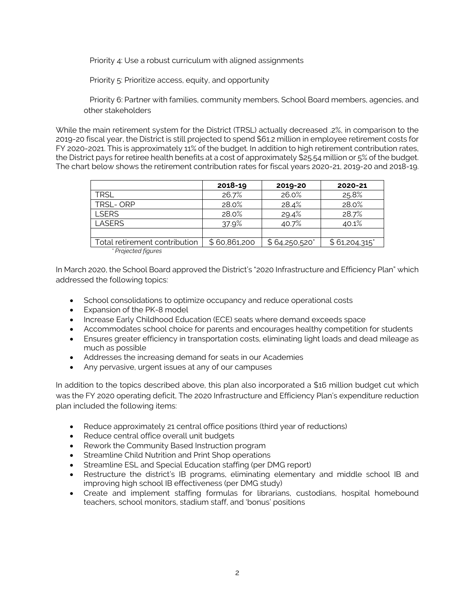Priority 4: Use a robust curriculum with aligned assignments

Priority 5: Prioritize access, equity, and opportunity

 Priority 6: Partner with families, community members, School Board members, agencies, and other stakeholders

While the main retirement system for the District (TRSL) actually decreased .2%, in comparison to the 2019-20 fiscal year, the District is still projected to spend \$61.2 million in employee retirement costs for FY 2020-2021. This is approximately 11% of the budget. In addition to high retirement contribution rates, the District pays for retiree health benefits at a cost of approximately \$25.54 million or 5% of the budget. The chart below shows the retirement contribution rates for fiscal years 2020-21, 2019-20 and 2018-19.

|                               | 2018-19      | 2019-20       | 2020-21      |
|-------------------------------|--------------|---------------|--------------|
| TRSL                          | 26.7%        | 26.0%         | 25.8%        |
| TRSL-ORP                      | 28.0%        | 28.4%         | 28.0%        |
| <b>I SERS</b>                 | 28.0%        | 29.4%         | 28.7%        |
| <b>LASERS</b>                 | 37.9%        | 40.7%         | 40.1%        |
|                               |              |               |              |
| Total retirement contribution | \$60,861,200 | \$64,250,520" | \$61,204,315 |
| <b>Projected figures</b>      |              |               |              |

In March 2020, the School Board approved the District's "2020 Infrastructure and Efficiency Plan" which addressed the following topics:

- School consolidations to optimize occupancy and reduce operational costs
- Expansion of the PK-8 model
- Increase Early Childhood Education (ECE) seats where demand exceeds space
- Accommodates school choice for parents and encourages healthy competition for students
- Ensures greater efficiency in transportation costs, eliminating light loads and dead mileage as much as possible
- Addresses the increasing demand for seats in our Academies
- Any pervasive, urgent issues at any of our campuses

In addition to the topics described above, this plan also incorporated a \$16 million budget cut which was the FY 2020 operating deficit, The 2020 Infrastructure and Efficiency Plan's expenditure reduction plan included the following items:

- Reduce approximately 21 central office positions (third year of reductions)
- Reduce central office overall unit budgets
- Rework the Community Based Instruction program
- **•** Streamline Child Nutrition and Print Shop operations
- **Streamline ESL and Special Education staffing (per DMG report)**
- Restructure the district's IB programs, eliminating elementary and middle school IB and improving high school IB effectiveness (per DMG study)
- Create and implement staffing formulas for librarians, custodians, hospital homebound teachers, school monitors, stadium staff, and 'bonus' positions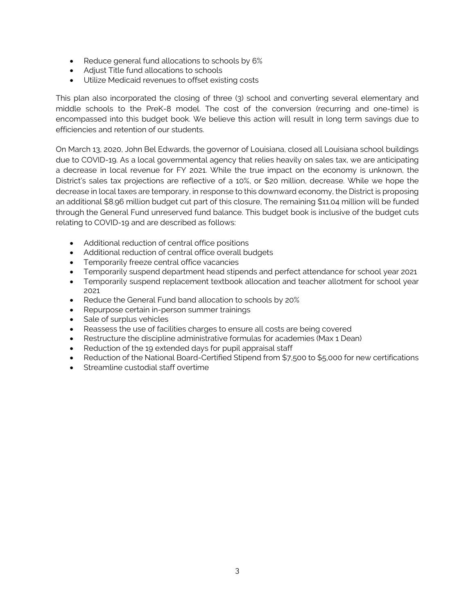- Reduce general fund allocations to schools by 6%
- Adjust Title fund allocations to schools
- Utilize Medicaid revenues to offset existing costs

This plan also incorporated the closing of three (3) school and converting several elementary and middle schools to the PreK-8 model. The cost of the conversion (recurring and one-time) is encompassed into this budget book. We believe this action will result in long term savings due to efficiencies and retention of our students.

On March 13, 2020, John Bel Edwards, the governor of Louisiana, closed all Louisiana school buildings due to COVID-19. As a local governmental agency that relies heavily on sales tax, we are anticipating a decrease in local revenue for FY 2021. While the true impact on the economy is unknown, the District's sales tax projections are reflective of a 10%, or \$20 million, decrease. While we hope the decrease in local taxes are temporary, in response to this downward economy, the District is proposing an additional \$8.96 million budget cut part of this closure, The remaining \$11.04 million will be funded through the General Fund unreserved fund balance. This budget book is inclusive of the budget cuts relating to COVID-19 and are described as follows:

- Additional reduction of central office positions
- Additional reduction of central office overall budgets
- Temporarily freeze central office vacancies
- Temporarily suspend department head stipends and perfect attendance for school year 2021
- Temporarily suspend replacement textbook allocation and teacher allotment for school year 2021
- Reduce the General Fund band allocation to schools by 20%
- Repurpose certain in-person summer trainings
- Sale of surplus vehicles
- Reassess the use of facilities charges to ensure all costs are being covered
- Restructure the discipline administrative formulas for academies (Max 1 Dean)
- Reduction of the 19 extended days for pupil appraisal staff
- Reduction of the National Board-Certified Stipend from \$7,500 to \$5,000 for new certifications
- Streamline custodial staff overtime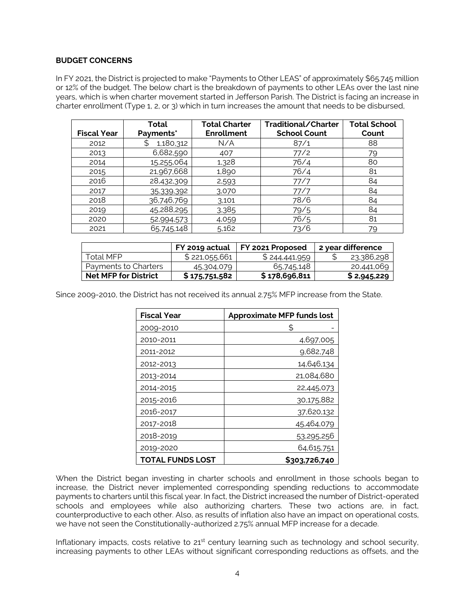#### **BUDGET CONCERNS**

In FY 2021, the District is projected to make "Payments to Other LEAS" of approximately \$65.745 million or 12% of the budget. The below chart is the breakdown of payments to other LEAs over the last nine years, which is when charter movement started in Jefferson Parish. The District is facing an increase in charter enrollment (Type 1, 2, or 3) which in turn increases the amount that needs to be disbursed,

| <b>Fiscal Year</b> | Total<br>Payments* | <b>Total Charter</b><br><b>Enrollment</b> | Traditional/Charter<br><b>School Count</b> | <b>Total School</b><br>Count |
|--------------------|--------------------|-------------------------------------------|--------------------------------------------|------------------------------|
| 2012               | 1,180,312<br>S     | N/A                                       | 87/1                                       | 88                           |
| 2013               | 6,682,590          | 407                                       | 77/2                                       | 79                           |
| 2014               | 15,255,064         | 1,328                                     | 76/4                                       | 80                           |
| 2015               | 21,967,668         | 1,890                                     | 76/4                                       | 81                           |
| 2016               | 28,432,309         | 2,593                                     | 77/7                                       | 84                           |
| 2017               | 35,339,392         | 3,070                                     | 77/7                                       | 84                           |
| 2018               | 36,746,769         | 3,101                                     | 78/6                                       | 84                           |
| 2019               | 45,288,295         | 3,385                                     | 79/5                                       | 84                           |
| 2020               | 52,994,573         | 4,059                                     | 76/5                                       | 81                           |
| 2021               | 65,745,148         | 5,162                                     | 73/6                                       | 79                           |

|                             | FY 2019 actual | FY 2021 Proposed | 2 year difference |
|-----------------------------|----------------|------------------|-------------------|
| Total MFP.                  | \$221,055,661  | \$244,441,959    | 23,386,298        |
| Payments to Charters        | 45,304,079     | 65,745,148       | 20,441,069        |
| <b>Net MFP for District</b> | \$175,751,582  | \$178,696,811    | \$2,945,229       |

Since 2009-2010, the District has not received its annual 2.75% MFP increase from the State.

| <b>Fiscal Year</b>      | <b>Approximate MFP funds lost</b> |
|-------------------------|-----------------------------------|
| 2009-2010               | S                                 |
| 2010-2011               | 4,697,005                         |
| 2011-2012               | 9,682,748                         |
| 2012-2013               | 14,646,134                        |
| 2013-2014               | 21,084,680                        |
| 2014-2015               | 22,445,073                        |
| 2015-2016               | 30,175,882                        |
| 2016-2017               | 37,620,132                        |
| 2017-2018               | 45,464,079                        |
| 2018-2019               | 53,295,256                        |
| 2019-2020               | 64,615,751                        |
| <b>TOTAL FUNDS LOST</b> | \$303,726,740                     |

When the District began investing in charter schools and enrollment in those schools began to increase, the District never implemented corresponding spending reductions to accommodate payments to charters until this fiscal year. In fact, the District increased the number of District-operated schools and employees while also authorizing charters. These two actions are, in fact, counterproductive to each other. Also, as results of inflation also have an impact on operational costs, we have not seen the Constitutionally-authorized 2.75% annual MFP increase for a decade.

Inflationary impacts, costs relative to 21<sup>st</sup> century learning such as technology and school security, increasing payments to other LEAs without significant corresponding reductions as offsets, and the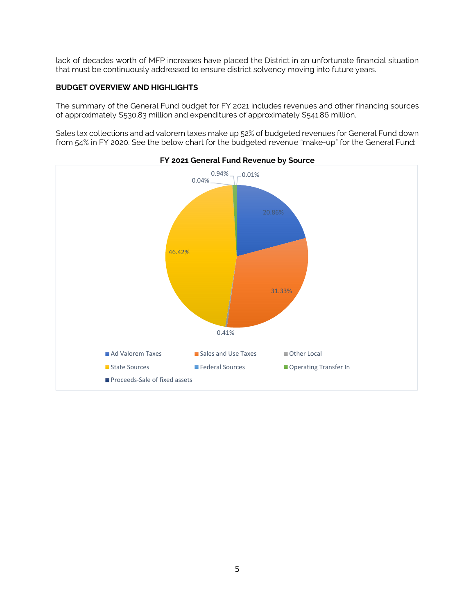lack of decades worth of MFP increases have placed the District in an unfortunate financial situation that must be continuously addressed to ensure district solvency moving into future years.

### **BUDGET OVERVIEW AND HIGHLIGHTS**

The summary of the General Fund budget for FY 2021 includes revenues and other financing sources of approximately \$530.83 million and expenditures of approximately \$541.86 million.

Sales tax collections and ad valorem taxes make up 52% of budgeted revenues for General Fund down from 54% in FY 2020. See the below chart for the budgeted revenue "make-up" for the General Fund:



5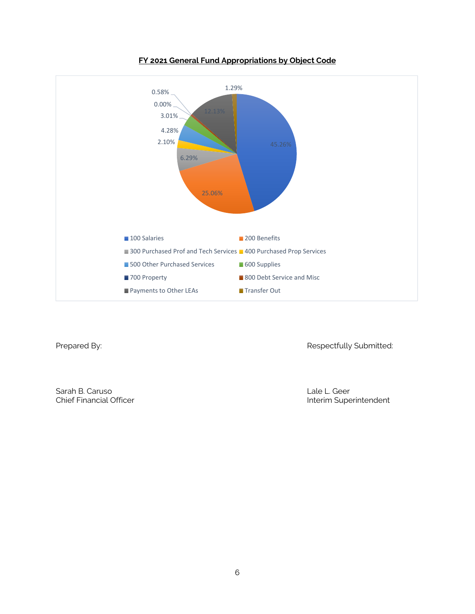

# **FY 2021 General Fund Appropriations by Object Code**

Prepared By: **Respectfully Submitted:** 

Sarah B. Caruso Lale L. Geer<br>Chief Financial Officer Lale L. Geer<br>Chief Financial Officer

Interim Superintendent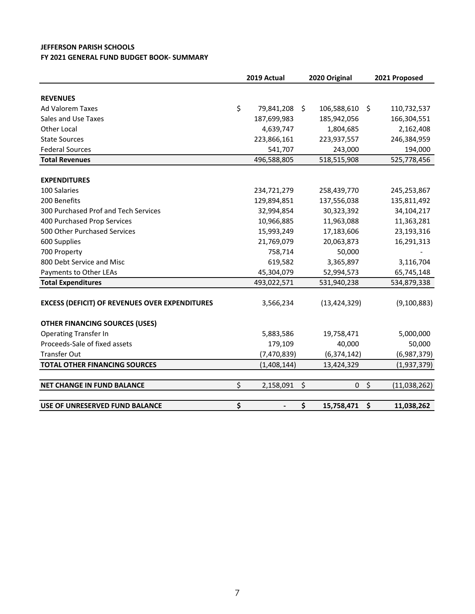### **JEFFERSON PARISH SCHOOLS FY 2021 GENERAL FUND BUDGET BOOK‐ SUMMARY**

|                                                       | 2019 Actual         | 2020 Original     |                    | 2021 Proposed |
|-------------------------------------------------------|---------------------|-------------------|--------------------|---------------|
|                                                       |                     |                   |                    |               |
| <b>REVENUES</b>                                       |                     |                   |                    |               |
| <b>Ad Valorem Taxes</b>                               | \$<br>79,841,208 \$ | 106,588,610       | Ŝ.                 | 110,732,537   |
| Sales and Use Taxes                                   | 187,699,983         | 185,942,056       |                    | 166,304,551   |
| <b>Other Local</b>                                    | 4,639,747           | 1,804,685         |                    | 2,162,408     |
| <b>State Sources</b>                                  | 223,866,161         | 223,937,557       |                    | 246,384,959   |
| <b>Federal Sources</b>                                | 541,707             | 243,000           |                    | 194,000       |
| <b>Total Revenues</b>                                 | 496,588,805         | 518,515,908       |                    | 525,778,456   |
|                                                       |                     |                   |                    |               |
| <b>EXPENDITURES</b>                                   |                     |                   |                    |               |
| 100 Salaries                                          | 234,721,279         | 258,439,770       |                    | 245,253,867   |
| 200 Benefits                                          | 129,894,851         | 137,556,038       |                    | 135,811,492   |
| 300 Purchased Prof and Tech Services                  | 32,994,854          | 30,323,392        |                    | 34,104,217    |
| 400 Purchased Prop Services                           | 10,966,885          | 11,963,088        |                    | 11,363,281    |
| 500 Other Purchased Services                          | 15,993,249          | 17,183,606        |                    | 23,193,316    |
| 600 Supplies                                          | 21,769,079          | 20,063,873        |                    | 16,291,313    |
| 700 Property                                          | 758,714             | 50,000            |                    |               |
| 800 Debt Service and Misc                             | 619,582             | 3,365,897         |                    | 3,116,704     |
| Payments to Other LEAs                                | 45,304,079          | 52,994,573        |                    | 65,745,148    |
| <b>Total Expenditures</b>                             | 493,022,571         | 531,940,238       |                    | 534,879,338   |
|                                                       |                     |                   |                    |               |
| <b>EXCESS (DEFICIT) OF REVENUES OVER EXPENDITURES</b> | 3,566,234           | (13, 424, 329)    |                    | (9,100,883)   |
| <b>OTHER FINANCING SOURCES (USES)</b>                 |                     |                   |                    |               |
| <b>Operating Transfer In</b>                          | 5,883,586           | 19,758,471        |                    | 5,000,000     |
| Proceeds-Sale of fixed assets                         | 179,109             | 40,000            |                    | 50,000        |
| <b>Transfer Out</b>                                   | (7,470,839)         | (6, 374, 142)     |                    | (6,987,379)   |
| <b>TOTAL OTHER FINANCING SOURCES</b>                  | (1,408,144)         | 13,424,329        |                    | (1,937,379)   |
|                                                       |                     |                   |                    |               |
| <b>NET CHANGE IN FUND BALANCE</b>                     | \$<br>2,158,091     | \$<br>$\mathbf 0$ | $\ddot{\varsigma}$ | (11,038,262)  |
|                                                       |                     |                   |                    |               |
| USE OF UNRESERVED FUND BALANCE                        | \$                  | \$<br>15,758,471  | \$                 | 11,038,262    |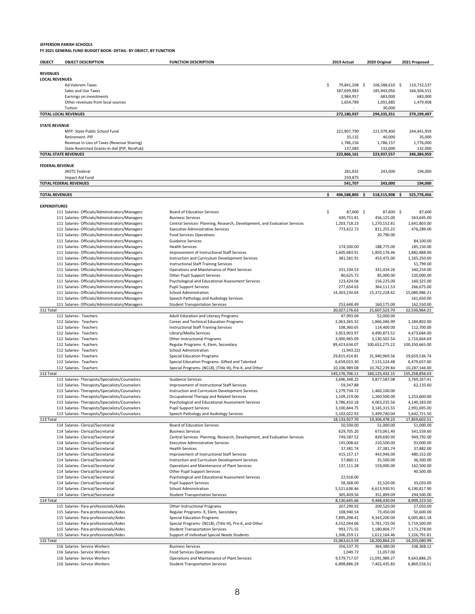# **JEFFERSON PARISH SCHOOLS FY 2021 GENERAL FUND BUDGET BOOK‐ DETAIL‐ BY OBJECT, BY FUNCTION**

| OBJECT                 | <b>OBJECT DESCRIPTION</b>                                                                          | <b>FUNCTION DESCRIPTION</b>                                                                       | 2019 Actual                | 2020 Original                |      | 2021 Proposed                |
|------------------------|----------------------------------------------------------------------------------------------------|---------------------------------------------------------------------------------------------------|----------------------------|------------------------------|------|------------------------------|
|                        |                                                                                                    |                                                                                                   |                            |                              |      |                              |
| <b>REVENUES</b>        |                                                                                                    |                                                                                                   |                            |                              |      |                              |
| <b>LOCAL REVENUES</b>  |                                                                                                    |                                                                                                   | \$<br>79,841,208 \$        | 106,588,610                  |      | 110,732,537                  |
|                        | Ad Valorem Taxes<br>Sales and Use Taxes                                                            |                                                                                                   | 187,699,983                | 185,942,056                  | - \$ | 166,304,551                  |
|                        | Earnings on investments                                                                            |                                                                                                   | 2,984,957                  | 683,000                      |      | 683,000                      |
|                        | Other revenues from local sources                                                                  |                                                                                                   | 1,654,789                  | 1,091,685                    |      | 1,479,408                    |
|                        | Tuition                                                                                            |                                                                                                   |                            | 30,000                       |      |                              |
|                        | <b>TOTAL LOCAL REVENUES</b>                                                                        |                                                                                                   | 272,180,937                | 294,335,351                  |      | 279,199,497                  |
|                        |                                                                                                    |                                                                                                   |                            |                              |      |                              |
| <b>STATE REVENUE</b>   | MFP- State Public School Fund                                                                      |                                                                                                   |                            |                              |      |                              |
|                        | Retirement-PIP                                                                                     |                                                                                                   | 221,907,790<br>35,132      | 221,979,400<br>40,000        |      | 244,441,959<br>35,000        |
|                        | Revenue in Lieu of Taxes (Revenue Sharing)                                                         |                                                                                                   | 1,786,156                  | 1,786,157                    |      | 1,776,000                    |
|                        | State Restricted Grants-In-Aid (PIP, NonPub)                                                       |                                                                                                   | 137,083                    | 132,000                      |      | 132,000                      |
|                        | <b>TOTAL STATE REVENUES</b>                                                                        |                                                                                                   | 223,866,161                | 223,937,557                  |      | 246,384,959                  |
|                        |                                                                                                    |                                                                                                   |                            |                              |      |                              |
| <b>FEDERAL REVENUE</b> |                                                                                                    |                                                                                                   |                            |                              |      |                              |
|                        | <b>JROTC Federal</b>                                                                               |                                                                                                   | 281,832                    | 243,000                      |      | 194,000                      |
|                        | Impact Aid Fund<br><b>TOTAL FEDERAL REVENUES</b>                                                   |                                                                                                   | 259,875<br>541,707         | 243,000                      |      | 194,000                      |
|                        |                                                                                                    |                                                                                                   |                            |                              |      |                              |
| <b>TOTAL REVENUES</b>  |                                                                                                    |                                                                                                   | \$<br>496,588,805          | 518,515,908<br>-\$           | \$   | 525,778,456                  |
|                        |                                                                                                    |                                                                                                   |                            |                              |      |                              |
| <b>EXPENDITURES</b>    |                                                                                                    |                                                                                                   |                            |                              |      |                              |
|                        | 111 Salaries- Officials/Administrators/Managers                                                    | <b>Board of Education Services</b>                                                                | \$<br>87,600 \$            | 87,600 \$                    |      | 87,600                       |
|                        | 111 Salaries- Officials/Administrators/Managers                                                    | <b>Business Services</b>                                                                          | 430,751.81                 | 456,125.00                   |      | 563,645.00                   |
|                        | 111 Salaries- Officials/Administrators/Managers                                                    | Central Services- Planning, Research, Development, and Evaluation Services                        | 1,203,718.23               | 1,270,152.81                 |      | 1,641,803.00                 |
|                        | 111 Salaries- Officials/Administrators/Managers                                                    | <b>Executive Administrative Services</b>                                                          | 773,422.72                 | 811,255.22                   |      | 476,289.00                   |
|                        | 111 Salaries- Officials/Administrators/Managers<br>111 Salaries- Officials/Administrators/Managers | <b>Food Services Operations</b><br><b>Guidance Services</b>                                       |                            | 20,790.00                    |      | 84,100.00                    |
|                        | 111 Salaries- Officials/Administrators/Managers                                                    | <b>Health Services</b>                                                                            | 174,500.00                 | 188,775.00                   |      | 185,150.00                   |
|                        | 111 Salaries- Officials/Administrators/Managers                                                    | Improvement of Instructional Staff Services                                                       | 1,605,683.91               | 1,850,176.46                 |      | 1,882,888.00                 |
|                        | 111 Salaries- Officials/Administrators/Managers                                                    | Instruction and Curriculum Development Services                                                   | 381,581.91                 | 453,475.00                   |      | 1,165,250.00                 |
|                        | 111 Salaries- Officials/Administrators/Managers                                                    | <b>Instructional Staff Training Services</b>                                                      |                            |                              |      | 51,799.00                    |
|                        | 111 Salaries- Officials/Administrators/Managers                                                    | Operations and Maintenance of Plant Services                                                      | 331,334.53                 | 331,434.26                   |      | 340,254.00                   |
|                        | 111 Salaries- Officials/Administrators/Managers                                                    | Other Pupil Support Services                                                                      | 80,625.72                  | 85,000.00                    |      | 220,000.00                   |
|                        | 111 Salaries- Officials/Administrators/Managers                                                    | Psychological and Educational Assessment Services                                                 | 123,424.04                 | 156,225.00                   |      | 160,325.00                   |
|                        | 111 Salaries- Officials/Administrators/Managers                                                    | <b>Pupil Support Services</b>                                                                     | 277,654.63                 | 364,111.53                   |      | 266,675.00                   |
|                        | 111 Salaries- Officials/Administrators/Managers                                                    | School Administration                                                                             | 14,303,230.64              | 15,372,228.42                |      | 15,080,986.21                |
|                        | 111 Salaries- Officials/Administrators/Managers                                                    | Speech Pathology and Audiology Services                                                           |                            |                              |      | 161,650.00                   |
|                        | 111 Salaries- Officials/Administrators/Managers                                                    | <b>Student Transportation Services</b>                                                            | 253,648.49                 | 160,175.00                   |      | 162,550.00                   |
| 111 Total              | 112 Salaries- Teachers                                                                             | Adult Education and Literacy Programs                                                             | 20,027,176.63<br>47,993.04 | 21,607,523.70<br>52,000.00   |      | 22,530,964.21                |
|                        | 112 Salaries- Teachers                                                                             | Career and Technical Education Programs                                                           | 2,063,365.32               | 1,866,046.99                 |      | 1,184,802.00                 |
|                        | 112 Salaries- Teachers                                                                             | <b>Instructional Staff Training Services</b>                                                      | 108,360.65                 | 114,400.00                   |      | 112,700.00                   |
|                        | 112 Salaries- Teachers                                                                             | Library/Media Services                                                                            | 3,953,903.97               | 4,490,873.52                 |      | 4,473,684.00                 |
|                        | 112 Salaries- Teachers                                                                             | <b>Other Instructional Programs</b>                                                               | 3,000,965.09               | 3,130,502.54                 |      | 2,710,664.69                 |
|                        | 112 Salaries- Teachers                                                                             | Regular Programs- K, Elem, Secondary                                                              | 89,423,634.07              | 100,653,275.22               |      | 100,350,665.00               |
|                        | 112 Salaries- Teachers                                                                             | School Administration                                                                             | (1,943.22)                 |                              |      |                              |
|                        | 112 Salaries- Teachers                                                                             | <b>Special Education Programs</b>                                                                 | 29,815,414.81              | 31,940,969.56                |      | 29,659,536.74                |
|                        | 112 Salaries- Teachers                                                                             | Special Education Programs- Gifted and Talented                                                   | 6,658,023.30               | 7,115,124.48                 |      | 6,479,657.60                 |
|                        | 112 Salaries- Teachers                                                                             | Special Programs- (NCLB), (Title III), Pre-K, and Other                                           | 10,106,989.08              | 10,762,239.84                |      | 10,287,146.00                |
| 112 Total              |                                                                                                    |                                                                                                   | 145,176,706.11             | 160, 125, 432. 15            |      | 155,258,856.03               |
|                        | 113 Salaries- Therapists/Specialists/Counselors                                                    | <b>Guidance Services</b><br>Improvement of Instructional Staff Services                           | 3,696,348.25               | 3,877,587.08                 |      | 3,769,267.41                 |
|                        | 113 Salaries-Therapists/Specialists/Counselors<br>113 Salaries- Therapists/Specialists/Counselors  | Instruction and Curriculum Development Services                                                   | 59,347.88<br>1,279,734.72  | 1,460,100.00                 |      | 62,135.60                    |
|                        | 113 Salaries-Therapists/Specialists/Counselors                                                     | Occupational Therapy and Related Services                                                         | 1,109,219.00               | 1,260,500.00                 |      | 1,253,600.00                 |
|                        | 113 Salaries-Therapists/Specialists/Counselors                                                     | Psychological and Educational Assessment Services                                                 | 3,786,410.18               | 4,063,235.56                 |      | 4,140,183.00                 |
|                        | 113 Salaries-Therapists/Specialists/Counselors                                                     | <b>Pupil Support Services</b>                                                                     | 3,100,844.75               | 3,145,315.55                 |      | 2,991,695.00                 |
|                        | 113 Salaries-Therapists/Specialists/Counselors                                                     | Speech Pathology and Audiology Services                                                           | 5,102,022.92               | 5,499,740.04                 |      | 5,642,721.50                 |
| 113 Total              |                                                                                                    |                                                                                                   | 18,133,927.70              | 19,306,478.23                |      | 17,859,602.51                |
|                        | 114 Salaries- Clerical/Secretarial                                                                 | <b>Board of Education Services</b>                                                                | 50,500.00                  | 51,000.00                    |      | 51,000.00                    |
|                        | 114 Salaries- Clerical/Secretarial                                                                 | <b>Business Services</b>                                                                          | 629,705.20                 | 673,061.40                   |      | 541,559.60                   |
|                        | 114 Salaries- Clerical/Secretarial                                                                 | Central Services- Planning, Research, Development, and Evaluation Services                        | 749,587.52                 | 839,690.90                   |      | 949,792.00                   |
|                        | 114 Salaries- Clerical/Secretarial                                                                 | <b>Executive Administrative Services</b>                                                          | 145,008.62                 | 210,500.00                   |      | 91,000.00                    |
|                        | 114 Salaries- Clerical/Secretarial                                                                 | <b>Health Services</b>                                                                            | 37,381.74                  | 37,381.74                    |      | 37,882.00                    |
|                        | 114 Salaries- Clerical/Secretarial<br>114 Salaries- Clerical/Secretarial                           | Improvement of Instructional Staff Services<br>Instruction and Curriculum Development Services    | 415,157.17<br>57,860.11    | 443,946.00<br>35,500.00      |      | 480,152.00<br>36,500.00      |
|                        | 114 Salaries- Clerical/Secretarial                                                                 | Operations and Maintenance of Plant Services                                                      | 137,111.28                 | 159,000.00                   |      | 162,500.00                   |
|                        | 114 Salaries- Clerical/Secretarial                                                                 | Other Pupil Support Services                                                                      |                            |                              |      | 40,500.00                    |
|                        | 114 Salaries- Clerical/Secretarial                                                                 | Psychological and Educational Assessment Services                                                 | 22,918.00                  |                              |      |                              |
|                        | 114 Salaries- Clerical/Secretarial                                                                 | <b>Pupil Support Services</b>                                                                     | 58,368.00                  | 32,520.00                    |      | 33,020.00                    |
|                        | 114 Salaries- Clerical/Secretarial                                                                 | <b>School Administration</b>                                                                      | 5,521,638.46               | 6,613,930.91                 |      | 6,190,817.90                 |
|                        | 114 Salaries- Clerical/Secretarial                                                                 | <b>Student Transportation Services</b>                                                            | 305,409.56                 | 351,899.09                   |      | 294,500.00                   |
| 114 Total              |                                                                                                    |                                                                                                   | 8,130,645.66               | 9,448,430.04                 |      | 8,909,223.50                 |
|                        | 115 Salaries- Para-professionals/Aides                                                             | Other Instructional Programs                                                                      | 207,299.92                 | 209,520.00                   |      | 27,050.00                    |
|                        | 115 Salaries- Para-professionals/Aides                                                             | Regular Programs- K, Elem, Secondary                                                              | 108,940.54                 | 73,450.00                    |      | 50,600.00                    |
|                        | 115 Salaries- Para-professionals/Aides                                                             | <b>Special Education Programs</b>                                                                 | 7,895,298.41               | 9,343,200.00                 |      | 6,005,861.18                 |
|                        | 115 Salaries- Para-professionals/Aides<br>115 Salaries- Para-professionals/Aides                   | Special Programs- (NCLB), (Title III), Pre-K, and Other<br><b>Student Transportation Services</b> | 4,552,044.06<br>993,771.55 | 5,781,725.00<br>1,180,804.77 |      | 5,719,500.00<br>1,173,278.00 |
|                        | 115 Salaries- Para-professionals/Aides                                                             | Support of Individual Special Needs Students                                                      | 1,306,259.11               | 1,612,164.46                 |      | 1,226,791.81                 |
| 115 Total              |                                                                                                    |                                                                                                   | 15,063,613.59              | 18,200,864.23                |      | 14,203,080.99                |
|                        | 116 Salaries- Service Workers                                                                      | <b>Business Services</b>                                                                          | 356,537.70                 | 364,380.00                   |      | 338,368.12                   |
|                        | 116 Salaries- Service Workers                                                                      | <b>Food Services Operations</b>                                                                   | 1,049.72                   | 11,057.00                    |      |                              |
|                        | 116 Salaries- Service Workers                                                                      | Operations and Maintenance of Plant Services                                                      | 9,579,717.07               | 11,091,989.27                |      | 9,643,886.25                 |
|                        | 116 Salaries- Service Workers                                                                      | <b>Student Transportation Services</b>                                                            | 6,898,886.29               | 7,402,435.83                 |      | 6,869,556.51                 |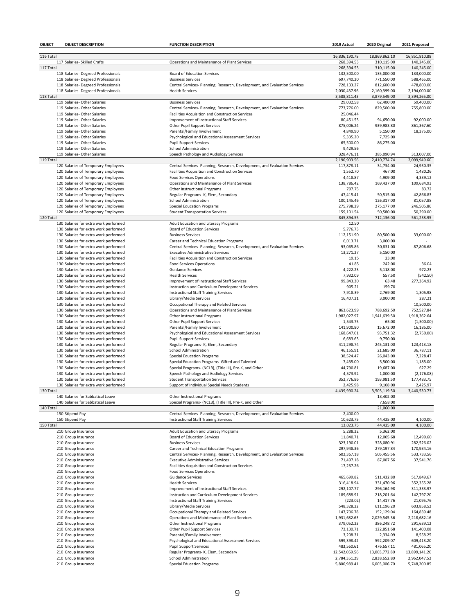| OBJECT    | <b>OBJECT DESCRIPTION</b>                                                      | <b>FUNCTION DESCRIPTION</b>                                                                    | 2019 Actual                | 2020 Original              | 2021 Proposed              |
|-----------|--------------------------------------------------------------------------------|------------------------------------------------------------------------------------------------|----------------------------|----------------------------|----------------------------|
| 116 Total |                                                                                |                                                                                                | 16,836,190.78              | 18,869,862.10              | 16,851,810.88              |
|           | 117 Salaries- Skilled Crafts                                                   | Operations and Maintenance of Plant Services                                                   | 268,394.53                 | 310,115.00                 | 140,245.00                 |
| 117 Total |                                                                                |                                                                                                | 268,394.53                 | 310,115.00                 | 140.245.00                 |
|           | 118 Salaries- Degreed Professionals                                            | <b>Board of Education Services</b>                                                             | 132,500.00                 | 135,000.00                 | 133,000.00                 |
|           | 118 Salaries- Degreed Professionals                                            | <b>Business Services</b>                                                                       | 697,740.20                 | 771,550.00                 | 588,465.00                 |
|           | 118 Salaries- Degreed Professionals                                            | Central Services- Planning, Research, Development, and Evaluation Services                     | 728,133.27                 | 812,600.00                 | 478,800.00                 |
|           | 118 Salaries- Degreed Professionals                                            | <b>Health Services</b>                                                                         | 2,030,437.96               | 2,160,399.00               | 2,194,000.00               |
| 118 Total | 119 Salaries- Other Salaries                                                   | <b>Business Services</b>                                                                       | 3,588,811.43<br>29,032.58  | 3,879,549.00<br>62,400.00  | 3,394,265.00<br>59,400.00  |
|           | 119 Salaries- Other Salaries                                                   | Central Services- Planning, Research, Development, and Evaluation Services                     | 773,776.00                 | 829,500.00                 | 755,800.00                 |
|           | 119 Salaries- Other Salaries                                                   | Facilities Acquisition and Construction Services                                               | 25,046.44                  |                            |                            |
|           | 119 Salaries- Other Salaries                                                   | Improvement of Instructional Staff Services                                                    | 80,451.53                  | 94,650.00                  | 92,000.00                  |
|           | 119 Salaries- Other Salaries                                                   | Other Pupil Support Services                                                                   | 875,006.24                 | 939,983.80                 | 861,367.60                 |
|           | 119 Salaries- Other Salaries                                                   | Parental/Family Involvement                                                                    | 4,849.90                   | 5,150.00                   | 18,375.00                  |
|           | 119 Salaries- Other Salaries                                                   | Psychological and Educational Assessment Services                                              | 5,335.20                   | 7,725.00                   |                            |
|           | 119 Salaries- Other Salaries                                                   | <b>Pupil Support Services</b>                                                                  | 65,500.00                  | 86,275.00                  |                            |
|           | 119 Salaries- Other Salaries                                                   | School Administration                                                                          | 9,429.56                   |                            |                            |
| 119 Total | 119 Salaries- Other Salaries                                                   | Speech Pathology and Audiology Services                                                        | 328,476.11<br>2,196,903.56 | 385,090.94<br>2,410,774.74 | 313,007.00<br>2,099,949.60 |
|           | 120 Salaries of Temporary Employees                                            | Central Services- Planning, Research, Development, and Evaluation Services                     | 117,878.11                 | 34,734.00                  | 24,930.35                  |
|           | 120 Salaries of Temporary Employees                                            | Facilities Acquisition and Construction Services                                               | 1,552.70                   | 467.00                     | 1,480.26                   |
|           | 120 Salaries of Temporary Employees                                            | <b>Food Services Operations</b>                                                                | 4,418.87                   | 4,909.00                   | 4,339.12                   |
|           | 120 Salaries of Temporary Employees                                            | Operations and Maintenance of Plant Services                                                   | 138,786.42                 | 169,437.00                 | 109,684.93                 |
|           | 120 Salaries of Temporary Employees                                            | Other Instructional Programs                                                                   | 797.75                     |                            | 83.72                      |
|           | 120 Salaries of Temporary Employees                                            | Regular Programs- K, Elem, Secondary                                                           | 47,415.41                  | 50,515.00                  | 42,866.83                  |
|           | 120 Salaries of Temporary Employees                                            | <b>School Administration</b>                                                                   | 100,145.46                 | 126,317.00                 | 81,057.88                  |
|           | 120 Salaries of Temporary Employees                                            | <b>Special Education Programs</b>                                                              | 275,798.29                 | 275,177.00                 | 246,505.86                 |
|           | 120 Salaries of Temporary Employees                                            | <b>Student Transportation Services</b>                                                         | 159,101.54                 | 50,580.00                  | 50,290.00                  |
| 120 Total | 130 Salaries for extra work performed                                          | Adult Education and Literacy Programs                                                          | 845,894.55<br>12.50        | 712,136.00                 | 561,238.95                 |
|           | 130 Salaries for extra work performed                                          | <b>Board of Education Services</b>                                                             | 5,776.73                   |                            |                            |
|           | 130 Salaries for extra work performed                                          | <b>Business Services</b>                                                                       | 112,151.90                 | 80,500.00                  | 33.000.00                  |
|           | 130 Salaries for extra work performed                                          | Career and Technical Education Programs                                                        | 6,013.71                   | 3,000.00                   |                            |
|           | 130 Salaries for extra work performed                                          | Central Services- Planning, Research, Development, and Evaluation Services                     | 93,065.86                  | 30,831.00                  | 87,806.68                  |
|           | 130 Salaries for extra work performed                                          | <b>Executive Administrative Services</b>                                                       | 13,271.27                  | 5,150.00                   |                            |
|           | 130 Salaries for extra work performed                                          | Facilities Acquisition and Construction Services                                               | 19.15                      | 23.00                      |                            |
|           | 130 Salaries for extra work performed                                          | <b>Food Services Operations</b>                                                                | 41.85                      | 242.00                     | 36.04                      |
|           | 130 Salaries for extra work performed                                          | <b>Guidance Services</b>                                                                       | 4,222.23                   | 5,118.00                   | 972.23                     |
|           | 130 Salaries for extra work performed                                          | <b>Health Services</b>                                                                         | 7,932.09                   | 557.50                     | (542.50)                   |
|           | 130 Salaries for extra work performed<br>130 Salaries for extra work performed | Improvement of Instructional Staff Services<br>Instruction and Curriculum Development Services | 99,843.30<br>905.21        | 63.48<br>159.70            | 277,364.92                 |
|           | 130 Salaries for extra work performed                                          | <b>Instructional Staff Training Services</b>                                                   | 7,918.39                   | 2,769.00                   | 1,305.98                   |
|           | 130 Salaries for extra work performed                                          | Library/Media Services                                                                         | 16,407.21                  | 3,000.00                   | 287.21                     |
|           | 130 Salaries for extra work performed                                          | Occupational Therapy and Related Services                                                      |                            |                            | 10,500.00                  |
|           | 130 Salaries for extra work performed                                          | Operations and Maintenance of Plant Services                                                   | 863,623.99                 | 788,692.50                 | 752,527.84                 |
|           | 130 Salaries for extra work performed                                          | Other Instructional Programs                                                                   | 1,982,027.97               | 1,941,639.50               | 1,918,362.64               |
|           | 130 Salaries for extra work performed                                          | Other Pupil Support Services                                                                   | 1,543.75                   | 65.00                      | (1,500.00)                 |
|           | 130 Salaries for extra work performed                                          | Parental/Family Involvement                                                                    | 141,900.80                 | 15,672.00                  | 16,185.00                  |
|           | 130 Salaries for extra work performed                                          | Psychological and Educational Assessment Services                                              | 168,647.01                 | 93,751.32                  | (2,750.00)                 |
|           | 130 Salaries for extra work performed                                          | <b>Pupil Support Services</b>                                                                  | 6,683.63                   | 9,750.00                   |                            |
|           | 130 Salaries for extra work performed                                          | Regular Programs- K, Elem, Secondary<br>School Administration                                  | 411,298.74                 | 245,131.00                 | 123,413.18<br>36,787.11    |
|           | 130 Salaries for extra work performed<br>130 Salaries for extra work performed | <b>Special Education Programs</b>                                                              | 46,155.91<br>38,524.47     | 21,685.00<br>26,043.00     | 7,228.47                   |
|           | 130 Salaries for extra work performed                                          | Special Education Programs- Gifted and Talented                                                | 7,435.00                   | 5,500.00                   | 1,185.00                   |
|           | 130 Salaries for extra work performed                                          | Special Programs- (NCLB), (Title III), Pre-K, and Other                                        | 44,790.81                  | 19,687.00                  | 627.29                     |
|           | 130 Salaries for extra work performed                                          | Speech Pathology and Audiology Services                                                        | 4,573.92                   | 1,000.00                   | (2, 176.08)                |
|           | 130 Salaries for extra work performed                                          | <b>Student Transportation Services</b>                                                         | 352,776.86                 | 193,981.50                 | 177,483.75                 |
|           | 130 Salaries for extra work performed                                          | Support of Individual Special Needs Students                                                   | 2,425.98                   | 9,108.00                   | 2,425.97                   |
| 130 Total |                                                                                |                                                                                                | 4,439,990.24               | 3,503,119.50               | 3,440,530.73               |
|           | 140 Salaries for Sabbatical Leave                                              | Other Instructional Programs                                                                   |                            | 13,402.00                  |                            |
| 140 Total | 140 Salaries for Sabbatical Leave                                              | Special Programs- (NCLB), (Title III), Pre-K, and Other                                        |                            | 7,658.00<br>21,060.00      |                            |
|           | 150 Stipend Pay                                                                | Central Services- Planning, Research, Development, and Evaluation Services                     | 2,400.00                   |                            |                            |
|           | 150 Stipend Pay                                                                | <b>Instructional Staff Training Services</b>                                                   | 10,623.75                  | 44,425.00                  | 4,100.00                   |
| 150 Total |                                                                                |                                                                                                | 13,023.75                  | 44,425.00                  | 4,100.00                   |
|           | 210 Group Insurance                                                            | <b>Adult Education and Literacy Programs</b>                                                   | 5,288.32                   | 5,362.00                   |                            |
|           | 210 Group Insurance                                                            | <b>Board of Education Services</b>                                                             | 11,840.71                  | 12,005.68                  | 12,499.60                  |
|           | 210 Group Insurance                                                            | <b>Business Services</b>                                                                       | 323,190.01                 | 328,080.91                 | 282,526.02                 |
|           | 210 Group Insurance                                                            | Career and Technical Education Programs                                                        | 297,948.36                 | 279,197.84                 | 170,934.16                 |
|           | 210 Group Insurance                                                            | Central Services- Planning, Research, Development, and Evaluation Services                     | 502,367.18                 | 505,455.56                 | 533,733.56                 |
|           | 210 Group Insurance                                                            | <b>Executive Administrative Services</b>                                                       | 71,497.18                  | 87,007.56                  | 37,541.76                  |
|           | 210 Group Insurance                                                            | Facilities Acquisition and Construction Services                                               | 17,237.26                  |                            |                            |
|           | 210 Group Insurance<br>210 Group Insurance                                     | <b>Food Services Operations</b><br><b>Guidance Services</b>                                    | 465,699.82                 | 511,432.80                 | 517,849.67                 |
|           | 210 Group Insurance                                                            | <b>Health Services</b>                                                                         | 316,418.94                 | 331,470.96                 | 352,355.28                 |
|           | 210 Group Insurance                                                            | Improvement of Instructional Staff Services                                                    | 292,107.77                 | 296,164.98                 | 311,333.97                 |
|           | 210 Group Insurance                                                            | Instruction and Curriculum Development Services                                                | 189,688.91                 | 218,201.64                 | 142,797.20                 |
|           | 210 Group Insurance                                                            | <b>Instructional Staff Training Services</b>                                                   | (223.02)                   | 14,417.76                  | 21,095.76                  |
|           | 210 Group Insurance                                                            | Library/Media Services                                                                         | 548,328.22                 | 611,196.20                 | 603,858.52                 |
|           | 210 Group Insurance                                                            | Occupational Therapy and Related Services                                                      | 147,706.78                 | 152,129.04                 | 164,839.48                 |
|           | 210 Group Insurance                                                            | Operations and Maintenance of Plant Services                                                   | 1,931,682.63               | 2,029,545.36               | 2,218,682.16               |
|           | 210 Group Insurance                                                            | Other Instructional Programs                                                                   | 379,052.23                 | 386,248.72                 | 291,639.12                 |
|           | 210 Group Insurance                                                            | <b>Other Pupil Support Services</b>                                                            | 72,130.71                  | 122,851.68                 | 141,400.08                 |
|           | 210 Group Insurance<br>210 Group Insurance                                     | Parental/Family Involvement<br>Psychological and Educational Assessment Services               | 3,208.31<br>599,398.42     | 2,334.09<br>592,209.07     | 8,558.25<br>609,413.20     |
|           | 210 Group Insurance                                                            | <b>Pupil Support Services</b>                                                                  | 483,560.61                 | 476,657.11                 | 481,065.20                 |
|           | 210 Group Insurance                                                            | Regular Programs- K, Elem, Secondary                                                           | 12,542,059.56              | 13,003,772.80              | 13,899,141.20              |
|           | 210 Group Insurance                                                            | School Administration                                                                          | 2,784,351.29               | 2,838,652.80               | 2,962,047.52               |
|           | 210 Group Insurance                                                            | <b>Special Education Programs</b>                                                              | 5,806,989.41               | 6,003,006.70               | 5,748,200.85               |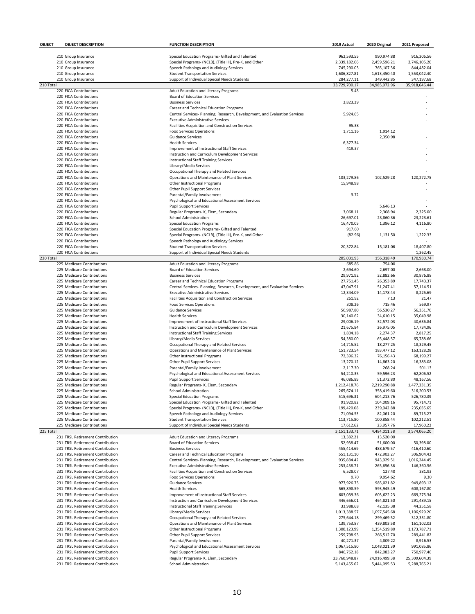| OBJECT    | <b>OBJECT DESCRIPTION</b>                                            | <b>FUNCTION DESCRIPTION</b>                                                                                | 2019 Actual                | 2020 Original              | 2021 Proposed              |
|-----------|----------------------------------------------------------------------|------------------------------------------------------------------------------------------------------------|----------------------------|----------------------------|----------------------------|
|           |                                                                      |                                                                                                            |                            |                            |                            |
|           | 210 Group Insurance                                                  | Special Education Programs- Gifted and Talented                                                            | 962.593.55<br>2,339,182.06 | 990,974.88                 | 916.306.56                 |
|           | 210 Group Insurance<br>210 Group Insurance                           | Special Programs- (NCLB), (Title III), Pre-K, and Other<br>Speech Pathology and Audiology Services         | 745,290.03                 | 2,459,596.21<br>765,107.36 | 2,746,105.20<br>844,482.04 |
|           | 210 Group Insurance                                                  | <b>Student Transportation Services</b>                                                                     | 1,606,827.81               | 1,613,450.40               | 1,553,042.40               |
|           | 210 Group Insurance                                                  | Support of Individual Special Needs Students                                                               | 284,277.11                 | 349,442.85                 | 347,197.68                 |
| 210 Total |                                                                      |                                                                                                            | 33,729,700.17              | 34,985,972.96              | 35,918,646.44              |
|           | 220 FICA Contributions                                               | Adult Education and Literacy Programs                                                                      | 5.43                       |                            |                            |
|           | 220 FICA Contributions                                               | <b>Board of Education Services</b>                                                                         |                            |                            |                            |
|           | 220 FICA Contributions                                               | <b>Business Services</b>                                                                                   | 3,823.39                   |                            |                            |
|           | 220 FICA Contributions                                               | Career and Technical Education Programs                                                                    |                            |                            |                            |
|           | 220 FICA Contributions                                               | Central Services- Planning, Research, Development, and Evaluation Services                                 | 5,924.65                   |                            |                            |
|           | 220 FICA Contributions                                               | <b>Executive Administrative Services</b>                                                                   |                            |                            |                            |
|           | 220 FICA Contributions                                               | Facilities Acquisition and Construction Services                                                           | 95.38                      |                            |                            |
|           | 220 FICA Contributions                                               | <b>Food Services Operations</b>                                                                            | 1,711.16                   | 1,914.12                   |                            |
|           | 220 FICA Contributions<br>220 FICA Contributions                     | <b>Guidance Services</b><br><b>Health Services</b>                                                         | 6,377.34                   | 2,350.98                   |                            |
|           | 220 FICA Contributions                                               | Improvement of Instructional Staff Services                                                                | 419.37                     |                            |                            |
|           | 220 FICA Contributions                                               | Instruction and Curriculum Development Services                                                            |                            |                            |                            |
|           | 220 FICA Contributions                                               | Instructional Staff Training Services                                                                      |                            |                            |                            |
|           | 220 FICA Contributions                                               | Library/Media Services                                                                                     |                            |                            |                            |
|           | 220 FICA Contributions                                               | Occupational Therapy and Related Services                                                                  |                            |                            |                            |
|           | 220 FICA Contributions                                               | Operations and Maintenance of Plant Services                                                               | 103,279.86                 | 102,529.28                 | 120,272.75                 |
|           | 220 FICA Contributions                                               | Other Instructional Programs                                                                               | 15,948.98                  |                            |                            |
|           | 220 FICA Contributions                                               | Other Pupil Support Services                                                                               |                            |                            |                            |
|           | 220 FICA Contributions                                               | Parental/Family Involvement                                                                                | 3.72                       |                            |                            |
|           | 220 FICA Contributions                                               | Psychological and Educational Assessment Services                                                          |                            |                            |                            |
|           | 220 FICA Contributions                                               | <b>Pupil Support Services</b>                                                                              |                            | 5,646.13                   |                            |
|           | 220 FICA Contributions                                               | Regular Programs- K, Elem, Secondary                                                                       | 3,068.11                   | 2,308.94                   | 2,325.00                   |
|           | 220 FICA Contributions                                               | <b>School Administration</b>                                                                               | 26,697.01                  | 23,860.36                  | 23,223.61                  |
|           | 220 FICA Contributions                                               | <b>Special Education Programs</b>                                                                          | 16,470.05                  | 1,396.12                   | 4,116.80                   |
|           | 220 FICA Contributions                                               | Special Education Programs- Gifted and Talented                                                            | 917.60                     |                            |                            |
|           | 220 FICA Contributions<br>220 FICA Contributions                     | Special Programs- (NCLB), (Title III), Pre-K, and Other<br>Speech Pathology and Audiology Services         | (82.96)                    | 1,131.50                   | 1,222.33                   |
|           | 220 FICA Contributions                                               | <b>Student Transportation Services</b>                                                                     | 20,372.84                  | 15,181.06                  | 18,407.80                  |
|           | 220 FICA Contributions                                               | Support of Individual Special Needs Students                                                               |                            |                            | 1,362.45                   |
| 220 Total |                                                                      |                                                                                                            | 205,031.93                 | 156,318.49                 | 170,930.74                 |
|           | 225 Medicare Contributions                                           | Adult Education and Literacy Programs                                                                      | 685.86                     | 754.00                     |                            |
|           | 225 Medicare Contributions                                           | <b>Board of Education Services</b>                                                                         | 2,694.60                   | 2,697.00                   | 2,668.00                   |
|           | 225 Medicare Contributions                                           | <b>Business Services</b>                                                                                   | 29,971.92                  | 32,882.66                  | 30,876.88                  |
|           | 225 Medicare Contributions                                           | Career and Technical Education Programs                                                                    | 27,751.45                  | 26,353.89                  | 17,743.37                  |
|           | 225 Medicare Contributions                                           | Central Services- Planning, Research, Development, and Evaluation Services                                 | 47,047.91                  | 51,247.41                  | 57,114.51                  |
|           | 225 Medicare Contributions                                           | <b>Executive Administrative Services</b>                                                                   | 12,344.09                  | 14,178.44                  | 8,225.69                   |
|           | 225 Medicare Contributions                                           | Facilities Acquisition and Construction Services                                                           | 261.92                     | 7.13                       | 21.47                      |
|           | 225 Medicare Contributions                                           | <b>Food Services Operations</b>                                                                            | 308.26                     | 715.46                     | 569.97                     |
|           | 225 Medicare Contributions                                           | <b>Guidance Services</b>                                                                                   | 50,987.80                  | 56,530.27                  | 56,351.70                  |
|           | 225 Medicare Contributions<br>225 Medicare Contributions             | <b>Health Services</b><br>Improvement of Instructional Staff Services                                      | 30,140.62<br>29,006.19     | 34,610.15<br>32,572.03     | 35,049.98<br>40,636.84     |
|           | 225 Medicare Contributions                                           | Instruction and Curriculum Development Services                                                            | 21,675.84                  | 26,975.05                  | 17,734.96                  |
|           | 225 Medicare Contributions                                           | Instructional Staff Training Services                                                                      | 1,804.18                   | 2,274.37                   | 2,817.25                   |
|           | 225 Medicare Contributions                                           | Library/Media Services                                                                                     | 54,380.00                  | 65,448.57                  | 65,788.66                  |
|           | 225 Medicare Contributions                                           | Occupational Therapy and Related Services                                                                  | 14,715.52                  | 18,277.25                  | 18,329.45                  |
|           | 225 Medicare Contributions                                           | Operations and Maintenance of Plant Services                                                               | 151,723.54                 | 183,477.12                 | 163,128.28                 |
|           | 225 Medicare Contributions                                           | Other Instructional Programs                                                                               | 72,396.32                  | 76,156.43                  | 68,199.27                  |
|           | 225 Medicare Contributions                                           | Other Pupil Support Services                                                                               | 13,270.12                  | 14,863.20                  | 16,383.08                  |
|           | 225 Medicare Contributions                                           | Parental/Family Involvement                                                                                | 2,117.30                   | 268.24                     | 501.13                     |
|           | 225 Medicare Contributions                                           | Psychological and Educational Assessment Services                                                          | 54,210.35                  | 59,596.23                  | 62,806.52                  |
|           | 225 Medicare Contributions                                           | <b>Pupil Support Services</b>                                                                              | 46,086.89                  | 51,372.80                  | 48,167.56                  |
|           | 225 Medicare Contributions                                           | Regular Programs- K, Elem, Secondary                                                                       | 1,212,418.76               | 2,219,290.88               | 1,477,331.35               |
|           | 225 Medicare Contributions                                           | School Administration                                                                                      | 265,674.11                 | 358,419.60                 | 316,200.53                 |
|           | 225 Medicare Contributions                                           | <b>Special Education Programs</b>                                                                          | 515,696.31                 | 604,213.76                 | 526,780.39                 |
|           | 225 Medicare Contributions<br>225 Medicare Contributions             | Special Education Programs- Gifted and Talented<br>Special Programs- (NCLB), (Title III), Pre-K, and Other | 91,920.82<br>199,420.08    | 104,009.16<br>239,942.88   | 95,714.71<br>235,035.65    |
|           | 225 Medicare Contributions                                           | Speech Pathology and Audiology Services                                                                    | 71,094.53                  | 82,061.20                  | 89,715.27                  |
|           | 225 Medicare Contributions                                           | <b>Student Transportation Services</b>                                                                     | 113,715.80                 | 100,858.44                 | 102,212.51                 |
|           | 225 Medicare Contributions                                           | Support of Individual Special Needs Students                                                               | 17,612.62                  | 23,957.76                  | 17,960.22                  |
| 225 Total |                                                                      |                                                                                                            | 3,151,133.71               | 4,484,011.38               | 3,574,065.20               |
|           | 231 TRSL Retirement Contribution                                     | Adult Education and Literacy Programs                                                                      | 13,382.21                  | 13,520.00                  |                            |
|           | 231 TRSL Retirement Contribution                                     | <b>Board of Education Services</b>                                                                         | 52,938.47                  | 51,600.00                  | 50,398.00                  |
|           | 231 TRSL Retirement Contribution                                     | <b>Business Services</b>                                                                                   | 455,414.69                 | 488,679.57                 | 416,410.60                 |
|           | 231 TRSL Retirement Contribution                                     | Career and Technical Education Programs                                                                    | 551,131.10                 | 472,903.27                 | 306,904.42                 |
|           | 231 TRSL Retirement Contribution                                     | Central Services- Planning, Research, Development, and Evaluation Services                                 | 935,884.42                 | 943,929.51                 | 1,016,244.45               |
|           | 231 TRSL Retirement Contribution                                     | <b>Executive Administrative Services</b>                                                                   | 253,458.71                 | 265,656.36                 | 146,360.56                 |
|           | 231 TRSL Retirement Contribution                                     | Facilities Acquisition and Construction Services                                                           | 6,528.07                   | 127.40                     | 381.93                     |
|           | 231 TRSL Retirement Contribution                                     | <b>Food Services Operations</b>                                                                            | 9.70                       | 9,954.62                   | 9.30                       |
|           | 231 TRSL Retirement Contribution                                     | <b>Guidance Services</b>                                                                                   | 977,926.73                 | 985,021.82                 | 949,893.12                 |
|           | 231 TRSL Retirement Contribution                                     | <b>Health Services</b>                                                                                     | 565,898.59                 | 593,945.49                 | 608,167.80                 |
|           | 231 TRSL Retirement Contribution<br>231 TRSL Retirement Contribution | Improvement of Instructional Staff Services<br>Instruction and Curriculum Development Services             | 603,039.36<br>446,656.01   | 603,622.23<br>464,821.50   | 669,275.34<br>291,489.15   |
|           | 231 TRSL Retirement Contribution                                     | Instructional Staff Training Services                                                                      | 33,988.68                  | 42,135.38                  | 44,251.58                  |
|           | 231 TRSL Retirement Contribution                                     | Library/Media Services                                                                                     | 1,013,388.57               | 1,097,545.68               | 1,106,929.20               |
|           | 231 TRSL Retirement Contribution                                     | Occupational Therapy and Related Services                                                                  | 275,644.18                 | 299,469.52                 | 312,331.80                 |
|           | 231 TRSL Retirement Contribution                                     | Operations and Maintenance of Plant Services                                                               | 139,753.87                 | 439,803.58                 | 161,102.03                 |
|           | 231 TRSL Retirement Contribution                                     | Other Instructional Programs                                                                               | 1,300,123.99               | 1,354,519.80               | 1,173,787.71               |
|           | 231 TRSL Retirement Contribution                                     | Other Pupil Support Services                                                                               | 259,798.93                 | 266,512.70                 | 289,441.82                 |
|           | 231 TRSL Retirement Contribution                                     | Parental/Family Involvement                                                                                | 40,271.37                  | 4,809.22                   | 8,916.53                   |
|           | 231 TRSL Retirement Contribution                                     | Psychological and Educational Assessment Services                                                          | 1,067,515.80               | 1,048,021.39               | 991,085.86                 |
|           | 231 TRSL Retirement Contribution                                     | <b>Pupil Support Services</b>                                                                              | 846,762.18                 | 842,083.27                 | 750,977.46                 |
|           | 231 TRSL Retirement Contribution                                     | Regular Programs- K, Elem, Secondary                                                                       | 23,760,948.87              | 24,916,499.38              | 25,309,604.39              |
|           | 231 TRSL Retirement Contribution                                     | School Administration                                                                                      | 5,143,455.62               | 5,444,095.53               | 5,288,765.21               |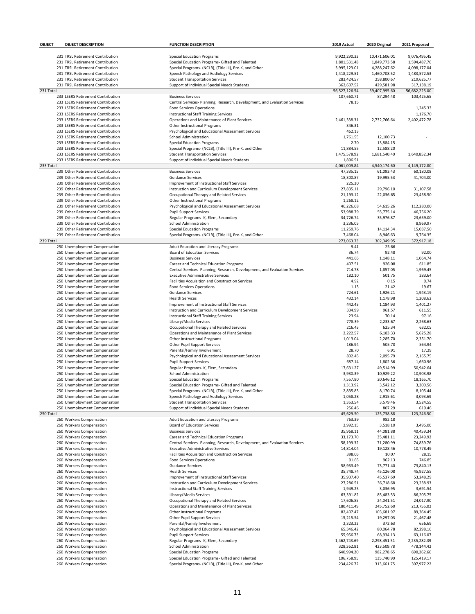| OBJECT    | <b>OBJECT DESCRIPTION</b>                                              | <b>FUNCTION DESCRIPTION</b>                                                                  | 2019 Actual   | 2020 Original | 2021 Proposed            |
|-----------|------------------------------------------------------------------------|----------------------------------------------------------------------------------------------|---------------|---------------|--------------------------|
|           |                                                                        |                                                                                              |               |               |                          |
|           | 231 TRSL Retirement Contribution                                       | <b>Special Education Programs</b>                                                            | 9,922,290.33  | 10,471,606.01 | 9,076,495.45             |
|           | 231 TRSL Retirement Contribution                                       | Special Education Programs- Gifted and Talented                                              | 1,801,531.48  | 1,849,773.58  | 1,594,487.76             |
|           | 231 TRSL Retirement Contribution                                       | Special Programs- (NCLB), (Title III), Pre-K, and Other                                      | 3,995,123.01  | 4,288,247.62  | 4,098,177.04             |
|           | 231 TRSL Retirement Contribution                                       | Speech Pathology and Audiology Services                                                      | 1,418,229.51  | 1,460,708.52  | 1,483,572.53             |
|           | 231 TRSL Retirement Contribution                                       | <b>Student Transportation Services</b>                                                       | 283,424.57    | 258,800.67    | 219,625.77               |
|           | 231 TRSL Retirement Contribution                                       | Support of Individual Special Needs Students                                                 | 362,607.52    | 429,581.98    | 317,138.19               |
| 231 Total |                                                                        |                                                                                              | 56,527,126.54 | 59,407,995.60 | 56,682,225.00            |
|           | 233 LSERS Retirement Contribution                                      | <b>Business Services</b>                                                                     | 107,660.71    | 87,294.48     | 103,425.65               |
|           | 233 LSERS Retirement Contribution                                      | Central Services- Planning, Research, Development, and Evaluation Services                   | 78.15         |               |                          |
|           | 233 LSERS Retirement Contribution<br>233 LSERS Retirement Contribution | <b>Food Services Operations</b>                                                              |               |               | 1,245.33                 |
|           | 233 LSERS Retirement Contribution                                      | <b>Instructional Staff Training Services</b><br>Operations and Maintenance of Plant Services | 2,461,338.31  | 2,732,766.64  | 1,176.70<br>2,402,472.78 |
|           | 233 LSERS Retirement Contribution                                      |                                                                                              | 346.31        |               |                          |
|           | 233 LSERS Retirement Contribution                                      | Other Instructional Programs<br>Psychological and Educational Assessment Services            | 462.13        |               |                          |
|           | 233 LSERS Retirement Contribution                                      | School Administration                                                                        | 1,761.55      | 12,100.73     |                          |
|           | 233 LSERS Retirement Contribution                                      | <b>Special Education Programs</b>                                                            | 2.70          | 13,884.15     |                          |
|           | 233 LSERS Retirement Contribution                                      | Special Programs- (NCLB), (Title III), Pre-K, and Other                                      | 11,884.55     | 12,588.20     |                          |
|           | 233 LSERS Retirement Contribution                                      | <b>Student Transportation Services</b>                                                       | 1,475,578.92  | 1,681,540.40  | 1,640,852.34             |
|           | 233 LSERS Retirement Contribution                                      | Support of Individual Special Needs Students                                                 | 1,896.51      |               |                          |
| 233 Total |                                                                        |                                                                                              | 4,061,009.84  | 4,540,174.60  | 4,149,172.80             |
|           | 239 Other Retirement Contribution                                      | <b>Business Services</b>                                                                     | 47,335.15     | 61,093.43     | 60,180.08                |
|           | 239 Other Retirement Contribution                                      | <b>Guidance Services</b>                                                                     | 18,300.87     | 19,995.53     | 41,704.00                |
|           | 239 Other Retirement Contribution                                      | Improvement of Instructional Staff Services                                                  | 225.30        |               |                          |
|           | 239 Other Retirement Contribution                                      | Instruction and Curriculum Development Services                                              | 27,835.11     | 29,796.10     | 31,107.58                |
|           | 239 Other Retirement Contribution                                      | Occupational Therapy and Related Services                                                    | 21,193.12     | 22,036.65     | 23,458.50                |
|           | 239 Other Retirement Contribution                                      | Other Instructional Programs                                                                 | 1,268.12      |               |                          |
|           | 239 Other Retirement Contribution                                      | Psychological and Educational Assessment Services                                            | 46,226.68     | 54,615.26     | 112,280.00               |
|           | 239 Other Retirement Contribution                                      | <b>Pupil Support Services</b>                                                                | 53,988.79     | 55,775.14     | 46,756.20                |
|           | 239 Other Retirement Contribution                                      | Regular Programs- K, Elem, Secondary                                                         | 34,726.74     | 35,976.87     | 23,659.00                |
|           | 239 Other Retirement Contribution                                      | School Administration                                                                        | 3,236.05      |               | 8,969.97                 |
|           | 239 Other Retirement Contribution                                      | <b>Special Education Programs</b>                                                            | 11,259.76     | 14,114.34     | 15,037.50                |
|           | 239 Other Retirement Contribution                                      | Special Programs- (NCLB), (Title III), Pre-K, and Other                                      | 7,468.04      | 8,946.63      | 9,764.35                 |
| 239 Total |                                                                        |                                                                                              | 273,063.73    | 302,349.95    | 372,917.18               |
|           | 250 Unemployment Compensation                                          | Adult Education and Literacy Programs                                                        | 9.41          | 25.66         |                          |
|           | 250 Unemployment Compensation                                          | <b>Board of Education Services</b>                                                           | 36.74         | 92.48         | 92.00                    |
|           | 250 Unemployment Compensation                                          | <b>Business Services</b>                                                                     | 441.65        | 1,148.11      | 1,064.74                 |
|           | 250 Unemployment Compensation                                          | Career and Technical Education Programs                                                      | 407.51        | 926.08        | 611.85                   |
|           | 250 Unemployment Compensation                                          | Central Services- Planning, Research, Development, and Evaluation Services                   | 714.78        | 1,857.05      | 1,969.45                 |
|           | 250 Unemployment Compensation                                          | <b>Executive Administrative Services</b>                                                     | 182.10        | 501.75        | 283.64                   |
|           | 250 Unemployment Compensation                                          | Facilities Acquisition and Construction Services                                             | 4.92          | 0.15          | 0.74                     |
|           | 250 Unemployment Compensation                                          | <b>Food Services Operations</b>                                                              | 1.13          | 21.42         | 19.67                    |
|           | 250 Unemployment Compensation                                          | <b>Guidance Services</b>                                                                     | 724.61        | 1,926.21      | 1,943.19                 |
|           | 250 Unemployment Compensation                                          | <b>Health Services</b>                                                                       | 432.14        | 1,178.98      | 1,208.62                 |
|           | 250 Unemployment Compensation                                          | Improvement of Instructional Staff Services                                                  | 442.43        | 1,184.93      | 1,401.27                 |
|           | 250 Unemployment Compensation                                          | Instruction and Curriculum Development Services                                              | 334.99        | 961.57        | 611.55                   |
|           | 250 Unemployment Compensation                                          | Instructional Staff Training Services                                                        | 23.94         | 70.14         | 97.16                    |
|           | 250 Unemployment Compensation                                          | Library/Media Services                                                                       | 778.39        | 2,233.67      | 2,268.63                 |
|           | 250 Unemployment Compensation                                          | Occupational Therapy and Related Services                                                    | 216.43        | 625.34        | 632.05                   |
|           | 250 Unemployment Compensation                                          | Operations and Maintenance of Plant Services                                                 | 2,222.57      | 6,183.33      | 5,625.28                 |
|           | 250 Unemployment Compensation                                          | Other Instructional Programs                                                                 | 1,013.04      | 2,285.70      | 2,351.70                 |
|           | 250 Unemployment Compensation                                          | Other Pupil Support Services                                                                 | 186.94        | 505.70        | 564.94                   |
|           | 250 Unemployment Compensation                                          | Parental/Family Involvement                                                                  | 28.70         | 6.91          | 17.29                    |
|           | 250 Unemployment Compensation                                          | Psychological and Educational Assessment Services                                            | 802.45        | 2,095.79      | 2,165.75                 |
|           | 250 Unemployment Compensation                                          | <b>Pupil Support Services</b>                                                                | 687.14        | 1,802.36      | 1,660.96                 |
|           | 250 Unemployment Compensation                                          | Regular Programs- K, Elem, Secondary                                                         | 17,631.27     | 49,514.99     | 50,942.64                |
|           | 250 Unemployment Compensation                                          | School Administration                                                                        | 3,930.39      | 10,929.22     | 10,903.98                |
|           | 250 Unemployment Compensation                                          | <b>Special Education Programs</b>                                                            | 7,557.80      | 20,646.12     | 18,165.70                |
|           | 250 Unemployment Compensation                                          | Special Education Programs- Gifted and Talented                                              | 1,313.92      | 3,542.12      | 3,300.56                 |
|           | 250 Unemployment Compensation                                          | Special Programs- (NCLB), (Title III), Pre-K, and Other                                      | 2,835.83      | 8,170.74      | 8,105.44                 |
|           | 250 Unemployment Compensation                                          | Speech Pathology and Audiology Services                                                      | 1,058.28      | 2,915.61      | 3,093.69                 |
|           | 250 Unemployment Compensation                                          | <b>Student Transportation Services</b>                                                       | 1,353.54      | 3,579.46      | 3,524.55                 |
|           | 250 Unemployment Compensation                                          | Support of Individual Special Needs Students                                                 | 256.46        | 807.29        | 619.46                   |
| 250 Total |                                                                        |                                                                                              | 45,629.50     | 125,738.88    | 123,246.50               |
|           | 260 Workers Compensation                                               | Adult Education and Literacy Programs                                                        | 763.39        | 982.18        |                          |
|           | 260 Workers Compensation                                               | <b>Board of Education Services</b>                                                           | 2,992.15      | 3,518.10      | 3,496.00                 |
|           | 260 Workers Compensation                                               | <b>Business Services</b>                                                                     | 35,968.11     | 44,081.88     | 40,459.34                |
|           | 260 Workers Compensation                                               | Career and Technical Education Programs                                                      | 33,173.70     | 35,481.11     | 23,249.92                |
|           | 260 Workers Compensation                                               | Central Services- Planning, Research, Development, and Evaluation Services                   | 58,199.32     | 71,280.99     | 74,839.76                |
|           | 260 Workers Compensation                                               | <b>Executive Administrative Services</b>                                                     | 14,814.04     | 19,128.46     | 10,778.49                |
|           | 260 Workers Compensation                                               | Facilities Acquisition and Construction Services                                             | 398.05        | 10.07         | 28.15                    |
|           | 260 Workers Compensation                                               | <b>Food Services Operations</b>                                                              | 91.65         | 962.13        | 746.85                   |
|           | 260 Workers Compensation                                               | <b>Guidance Services</b>                                                                     | 58,933.49     | 73,771.40     | 73,840.13                |
|           | 260 Workers Compensation                                               | <b>Health Services</b>                                                                       | 35,748.74     | 45,126.08     | 45,927.55                |
|           | 260 Workers Compensation                                               | Improvement of Instructional Staff Services                                                  | 35,937.40     | 45,537.69     | 53,248.29                |
|           | 260 Workers Compensation                                               | Instruction and Curriculum Development Services                                              | 27,286.51     | 36,718.68     | 23,238.93                |
|           | 260 Workers Compensation                                               | <b>Instructional Staff Training Services</b>                                                 | 1,949.25      | 3,036.95      | 3,691.54                 |
|           | 260 Workers Compensation                                               | Library/Media Services                                                                       | 63,391.82     | 85,483.53     | 86,205.75                |
|           | 260 Workers Compensation                                               | Occupational Therapy and Related Services                                                    | 17,606.85     | 24,041.51     | 24,017.90                |
|           | 260 Workers Compensation                                               | Operations and Maintenance of Plant Services                                                 | 180,411.49    | 245,752.60    | 213,755.02               |
|           | 260 Workers Compensation                                               | Other Instructional Programs                                                                 | 82,407.47     | 103,681.97    | 89,364.45                |
|           | 260 Workers Compensation                                               | Other Pupil Support Services                                                                 | 15,215.54     | 19,297.03     | 21,467.48                |
|           | 260 Workers Compensation                                               | Parental/Family Involvement                                                                  | 2,323.22      | 372.63        | 656.69                   |
|           | 260 Workers Compensation                                               | Psychological and Educational Assessment Services                                            | 65,346.42     | 80,064.78     | 82,298.16                |
|           | 260 Workers Compensation                                               | <b>Pupil Support Services</b>                                                                | 55,956.73     | 68,934.13     | 63,116.07                |
|           | 260 Workers Compensation                                               | Regular Programs- K, Elem, Secondary                                                         | 1,462,743.69  | 2,298,451.51  | 2,235,282.39             |
|           | 260 Workers Compensation                                               | School Administration                                                                        | 328,362.81    | 423,509.78    | 478,144.42               |
|           | 260 Workers Compensation                                               | <b>Special Education Programs</b>                                                            | 640,994.20    | 982,278.65    | 690,262.60               |
|           | 260 Workers Compensation                                               | Special Education Programs- Gifted and Talented                                              | 106,758.95    | 135,740.90    | 125,419.17               |
|           | 260 Workers Compensation                                               | Special Programs- (NCLB), (Title III), Pre-K, and Other                                      | 234,426.72    | 313,661.75    | 307,977.22               |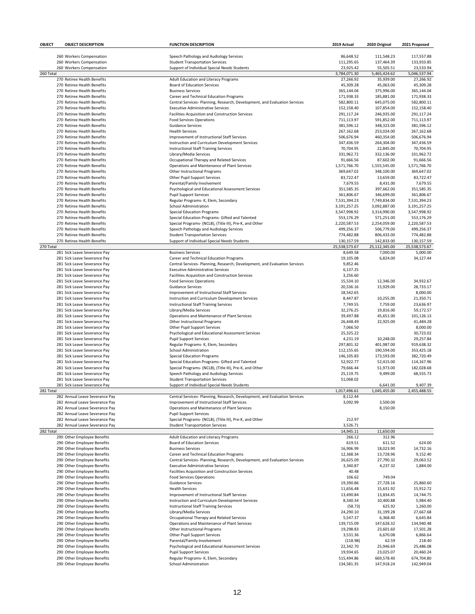| OBJECT    | <b>OBJECT DESCRIPTION</b>                                    | <b>FUNCTION DESCRIPTION</b>                                                                        | 2019 Actual                 | 2020 Original               | 2021 Proposed               |
|-----------|--------------------------------------------------------------|----------------------------------------------------------------------------------------------------|-----------------------------|-----------------------------|-----------------------------|
|           |                                                              |                                                                                                    |                             |                             |                             |
|           | 260 Workers Compensation                                     | Speech Pathology and Audiology Services                                                            | 86,648.52                   | 111,548.23                  | 117,557.88                  |
|           | 260 Workers Compensation<br>260 Workers Compensation         | <b>Student Transportation Services</b><br>Support of Individual Special Needs Students             | 111,295.65<br>23,925.42     | 137,464.39<br>55,505.51     | 133,933.85<br>23,533.94     |
| 260 Total |                                                              |                                                                                                    | 3,784,071.30                | 5,465,424.62                | 5,046,537.94                |
|           | 270 Retiree Health Benefits                                  | Adult Education and Literacy Programs                                                              | 27,266.92                   | 35,939.00                   | 27,266.92                   |
|           | 270 Retiree Health Benefits                                  | <b>Board of Education Services</b>                                                                 | 45,309.28                   | 45,063.00                   | 45,309.28                   |
|           | 270 Retiree Health Benefits                                  | <b>Business Services</b>                                                                           | 365,144.04                  | 375,996.00                  | 365,144.04                  |
|           | 270 Retiree Health Benefits                                  | Career and Technical Education Programs                                                            | 171,938.33                  | 185,881.00                  | 171,938.33                  |
|           | 270 Retiree Health Benefits                                  | Central Services- Planning, Research, Development, and Evaluation Services                         | 582,800.11                  | 645,075.00                  | 582,800.11                  |
|           | 270 Retiree Health Benefits                                  | <b>Executive Administrative Services</b>                                                           | 152,158.40                  | 107,854.00                  | 152,158.40                  |
|           | 270 Retiree Health Benefits<br>270 Retiree Health Benefits   | Facilities Acquisition and Construction Services<br><b>Food Services Operations</b>                | 291,117.24<br>711,113.97    | 246,935.00                  | 291,117.24<br>711,113.97    |
|           | 270 Retiree Health Benefits                                  | <b>Guidance Services</b>                                                                           | 381,596.12                  | 591,852.00<br>348,323.00    | 381,596.12                  |
|           | 270 Retiree Health Benefits                                  | <b>Health Services</b>                                                                             | 267,162.68                  | 253,024.00                  | 267,162.68                  |
|           | 270 Retiree Health Benefits                                  | Improvement of Instructional Staff Services                                                        | 506,676.94                  | 460,354.00                  | 506,676.94                  |
|           | 270 Retiree Health Benefits                                  | Instruction and Curriculum Development Services                                                    | 347,436.59                  | 264,304.00                  | 347,436.59                  |
|           | 270 Retiree Health Benefits                                  | <b>Instructional Staff Training Services</b>                                                       | 70,704.95                   | 22,845.00                   | 70,704.95                   |
|           | 270 Retiree Health Benefits                                  | Library/Media Services                                                                             | 331,962.72                  | 332,136.00                  | 331,962.72                  |
|           | 270 Retiree Health Benefits                                  | Occupational Therapy and Related Services                                                          | 91,666.56                   | 87,602.00                   | 91,666.56                   |
|           | 270 Retiree Health Benefits                                  | Operations and Maintenance of Plant Services                                                       | 1,571,766.70                | 1,555,545.00                | 1,571,766.70                |
|           | 270 Retiree Health Benefits<br>270 Retiree Health Benefits   | Other Instructional Programs                                                                       | 369,647.02<br>83,722.47     | 348,100.00                  | 369,647.02                  |
|           | 270 Retiree Health Benefits                                  | Other Pupil Support Services<br>Parental/Family Involvement                                        | 7,679.55                    | 13,659.00<br>8,431.00       | 83,722.47<br>7,679.55       |
|           | 270 Retiree Health Benefits                                  | Psychological and Educational Assessment Services                                                  | 351,585.35                  | 397,662.00                  | 351,585.35                  |
|           | 270 Retiree Health Benefits                                  | <b>Pupil Support Services</b>                                                                      | 361,806.67                  | 346,699.00                  | 361,806.67                  |
|           | 270 Retiree Health Benefits                                  | Regular Programs- K, Elem, Secondary                                                               | 7,531,394.23                | 7,749,834.00                | 7,531,394.23                |
|           | 270 Retiree Health Benefits                                  | <b>School Administration</b>                                                                       | 3,191,257.25                | 3,092,887.00                | 3,191,257.25                |
|           | 270 Retiree Health Benefits                                  | <b>Special Education Programs</b>                                                                  | 3,547,998.92                | 3,314,990.00                | 3,547,998.92                |
|           | 270 Retiree Health Benefits                                  | Special Education Programs- Gifted and Talented                                                    | 553,176.29                  | 571,251.00                  | 553,176.29                  |
|           | 270 Retiree Health Benefits                                  | Special Programs- (NCLB), (Title III), Pre-K, and Other                                            | 2,220,587.53                | 2,254,059.00                | 2,220,587.53                |
|           | 270 Retiree Health Benefits                                  | Speech Pathology and Audiology Services                                                            | 499,256.37                  | 506,779.00                  | 499,256.37                  |
|           | 270 Retiree Health Benefits                                  | <b>Student Transportation Services</b>                                                             | 774,482.88                  | 806,433.00                  | 774,482.88                  |
| 270 Total | 270 Retiree Health Benefits                                  | Support of Individual Special Needs Students                                                       | 130,157.59<br>25,538,573.67 | 142,833.00<br>25,112,345.00 | 130,157.59<br>25,538,573.67 |
|           | 281 Sick Leave Severance Pay                                 | <b>Business Services</b>                                                                           | 8,649.58                    | 7,000.00                    | 5,000.00                    |
|           | 281 Sick Leave Severance Pay                                 | Career and Technical Education Programs                                                            | 19,105.08                   | 6,824.00                    | 34,127.44                   |
|           | 281 Sick Leave Severance Pay                                 | Central Services- Planning, Research, Development, and Evaluation Services                         | 9,852.46                    |                             |                             |
|           | 281 Sick Leave Severance Pay                                 | <b>Executive Administrative Services</b>                                                           | 6,137.25                    |                             |                             |
|           | 281 Sick Leave Severance Pay                                 | Facilities Acquisition and Construction Services                                                   | 3,256.60                    |                             |                             |
|           | 281 Sick Leave Severance Pay                                 | <b>Food Services Operations</b>                                                                    | 15,534.10                   | 12,346.00                   | 34,932.67                   |
|           | 281 Sick Leave Severance Pay                                 | <b>Guidance Services</b>                                                                           | 20,536.16                   | 15,929.00                   | 28,733.17                   |
|           | 281 Sick Leave Severance Pay                                 | Improvement of Instructional Staff Services                                                        | 18,542.65                   |                             | 8,000.00                    |
|           | 281 Sick Leave Severance Pay                                 | Instruction and Curriculum Development Services                                                    | 8,447.87                    | 10,255.00                   | 21,350.71                   |
|           | 281 Sick Leave Severance Pay                                 | <b>Instructional Staff Training Services</b>                                                       | 7,749.55                    | 7,759.00                    | 23,636.97<br>59,172.57      |
|           | 281 Sick Leave Severance Pay<br>281 Sick Leave Severance Pay | Library/Media Services<br>Operations and Maintenance of Plant Services                             | 32,276.25<br>39,497.88      | 19,816.00<br>45,651.00      | 101,126.13                  |
|           | 281 Sick Leave Severance Pay                                 | Other Instructional Programs                                                                       | 26,448.49                   | 22,925.00                   | 41,484.28                   |
|           | 281 Sick Leave Severance Pay                                 | Other Pupil Support Services                                                                       | 7,066.50                    |                             | 8,000.00                    |
|           | 281 Sick Leave Severance Pay                                 | Psychological and Educational Assessment Services                                                  | 25,325.22                   |                             | 30,723.02                   |
|           | 281 Sick Leave Severance Pay                                 | <b>Pupil Support Services</b>                                                                      | 4,231.19                    | 10,248.00                   | 29,257.84                   |
|           | 281 Sick Leave Severance Pay                                 | Regular Programs- K, Elem, Secondary                                                               | 297.801.32                  | 401,987.00                  | 919,638.32                  |
|           | 281 Sick Leave Severance Pav                                 | <b>School Administration</b>                                                                       | 112,155.65                  | 190,594.00                  | 353,425.18                  |
|           | 281 Sick Leave Severance Pay                                 | <b>Special Education Programs</b>                                                                  | 146,105.83                  | 173,593.00                  | 382,720.49                  |
|           | 281 Sick Leave Severance Pay                                 | Special Education Programs- Gifted and Talented                                                    | 52,922.77                   | 52,415.00                   | 114,167.96                  |
|           | 281 Sick Leave Severance Pay                                 | Special Programs- (NCLB), (Title III), Pre-K, and Other<br>Speech Pathology and Audiology Services | 79,666.44                   | 51,973.00<br>9,499.00       | 182,028.68                  |
|           | 281 Sick Leave Severance Pay<br>281 Sick Leave Severance Pay | <b>Student Transportation Services</b>                                                             | 25,119.75<br>51,068.02      |                             | 68,555.73                   |
|           | 281 Sick Leave Severance Pay                                 | Support of Individual Special Needs Students                                                       |                             | 6,641.00                    | 9,407.39                    |
| 281 Tota  |                                                              |                                                                                                    | 1,017,496.61                | 1,045,455.00                | 2,455,488.55                |
|           | 282 Annual Leave Severance Pay                               | Central Services- Planning, Research, Development, and Evaluation Services                         | 8,112.44                    |                             |                             |
|           | 282 Annual Leave Severance Pay                               | Improvement of Instructional Staff Services                                                        | 3,092.99                    | 3,500.00                    |                             |
|           | 282 Annual Leave Severance Pay                               | Operations and Maintenance of Plant Services                                                       |                             | 8,150.00                    |                             |
|           | 282 Annual Leave Severance Pay                               | <b>Pupil Support Services</b>                                                                      |                             |                             |                             |
|           | 282 Annual Leave Severance Pay                               | Special Programs- (NCLB), (Title III), Pre-K, and Other                                            | 212.97                      |                             |                             |
|           | 282 Annual Leave Severance Pay                               | <b>Student Transportation Services</b>                                                             | 3,526.71                    |                             |                             |
| 282 Total | 290 Other Employee Benefits                                  | Adult Education and Literacy Programs                                                              | 14,945.11<br>266.12         | 11,650.00<br>312.96         |                             |
|           | 290 Other Employee Benefits                                  | <b>Board of Education Services</b>                                                                 | 619.51                      | 611.52                      | 624.00                      |
|           | 290 Other Employee Benefits                                  | <b>Business Services</b>                                                                           | 16,906.99                   | 18,023.90                   | 14,732.16                   |
|           | 290 Other Employee Benefits                                  | Career and Technical Education Programs                                                            | 12,368.34                   | 13,728.96                   | 9,152.40                    |
|           | 290 Other Employee Benefits                                  | Central Services- Planning, Research, Development, and Evaluation Services                         | 26,625.09                   | 27,790.32                   | 29,063.52                   |
|           | 290 Other Employee Benefits                                  | <b>Executive Administrative Services</b>                                                           | 3,340.87                    | 4,237.32                    | 1,884.00                    |
|           | 290 Other Employee Benefits                                  | Facilities Acquisition and Construction Services                                                   | 40.48                       |                             |                             |
|           | 290 Other Employee Benefits                                  | <b>Food Services Operations</b>                                                                    | 106.62                      | 749.04                      |                             |
|           | 290 Other Employee Benefits                                  | <b>Guidance Services</b>                                                                           | 19,390.86                   | 27,728.16                   | 25,860.60                   |
|           | 290 Other Employee Benefits                                  | <b>Health Services</b>                                                                             | 11,656.48                   | 15,631.92                   | 15,912.72                   |
|           | 290 Other Employee Benefits                                  | Improvement of Instructional Staff Services                                                        | 13,490.84                   | 13,834.45                   | 14,744.75                   |
|           | 290 Other Employee Benefits<br>290 Other Employee Benefits   | Instruction and Curriculum Development Services<br><b>Instructional Staff Training Services</b>    | 8,340.34<br>(58.73)         | 10,400.88<br>625.92         | 5,984.40<br>1,260.00        |
|           | 290 Other Employee Benefits                                  | Library/Media Services                                                                             | 24,290.10                   | 31,199.28                   | 27,667.68                   |
|           | 290 Other Employee Benefits                                  | Occupational Therapy and Related Services                                                          | 5,547.37                    | 6,368.40                    | 6,645.84                    |
|           | 290 Other Employee Benefits                                  | Operations and Maintenance of Plant Services                                                       | 139,715.09                  | 147,628.32                  | 134,940.48                  |
|           | 290 Other Employee Benefits                                  | Other Instructional Programs                                                                       | 19,298.83                   | 23,601.60                   | 17,501.28                   |
|           | 290 Other Employee Benefits                                  | Other Pupil Support Services                                                                       | 3,531.36                    | 6,670.08                    | 6,866.64                    |
|           | 290 Other Employee Benefits                                  | Parental/Family Involvement                                                                        | (118.98)                    | 62.59                       | 218.40                      |
|           | 290 Other Employee Benefits                                  | Psychological and Educational Assessment Services                                                  | 22,342.70                   | 25,946.69                   | 25,486.08                   |
|           | 290 Other Employee Benefits                                  | <b>Pupil Support Services</b>                                                                      | 19,934.65                   | 23,025.07                   | 20,460.24                   |
|           | 290 Other Employee Benefits                                  | Regular Programs- K, Elem, Secondary                                                               | 515,494.86                  | 669,578.40                  | 674,704.80                  |
|           | 290 Other Employee Benefits                                  | <b>School Administration</b>                                                                       | 134,581.35                  | 147,918.24                  | 142,949.04                  |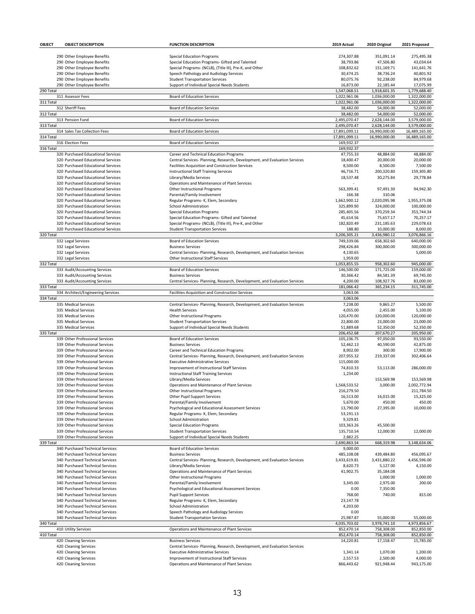| OBJECT    | <b>OBJECT DESCRIPTION</b>                                                | <b>FUNCTION DESCRIPTION</b>                                                                                                    | 2019 Actual               | 2020 Original             | 2021 Proposed              |
|-----------|--------------------------------------------------------------------------|--------------------------------------------------------------------------------------------------------------------------------|---------------------------|---------------------------|----------------------------|
|           |                                                                          |                                                                                                                                |                           |                           |                            |
|           | 290 Other Employee Benefits                                              | <b>Special Education Programs</b>                                                                                              | 274,307.88                | 351.091.14                | 275,495.38                 |
|           | 290 Other Employee Benefits<br>290 Other Employee Benefits               | Special Education Programs- Gifted and Talented<br>Special Programs- (NCLB), (Title III), Pre-K, and Other                     | 38,793.86<br>108,832.62   | 47,506.80<br>151,169.71   | 43.034.64<br>141,641.76    |
|           | 290 Other Employee Benefits                                              | Speech Pathology and Audiology Services                                                                                        | 30,474.25                 | 38,736.24                 | 40,801.92                  |
|           | 290 Other Employee Benefits                                              | <b>Student Transportation Services</b>                                                                                         | 80,075.76                 | 92,238.00                 | 84,979.68                  |
|           | 290 Other Employee Benefits                                              | Support of Individual Special Needs Students                                                                                   | 16,873.00                 | 22,185.44                 | 17,075.99                  |
| 290 Total |                                                                          |                                                                                                                                | 1,547,068.51              | 1,918,601.35              | 1,779,688.40               |
|           | 311 Assessor Fees                                                        | <b>Board of Education Services</b>                                                                                             | 1,022,961.06              | 1,036,000.00              | 1,322,000.00               |
| 311 Total |                                                                          |                                                                                                                                | 1,022,961.06              | 1,036,000.00              | 1,322,000.00               |
|           | 312 Sheriff Fees                                                         | <b>Board of Education Services</b>                                                                                             | 38,482.00                 | 54,000.00                 | 52,000.00                  |
| 312 Total | 313 Pension Fund                                                         | <b>Board of Education Services</b>                                                                                             | 38,482.00<br>2,495,070.47 | 54,000.00<br>2,628,144.00 | 52,000.00<br>3,579,000.00  |
| 313 Total |                                                                          |                                                                                                                                | 2,495,070.47              | 2,628,144.00              | 3,579,000.00               |
|           | 314 Sales Tax Collection Fees                                            | <b>Board of Education Services</b>                                                                                             | 17,891,099.11             | 16,990,000.00             | 16,489,165.00              |
| 314 Total |                                                                          |                                                                                                                                | 17,891,099.11             | 16,990,000.00             | 16,489,165.00              |
|           | 316 Election Fees                                                        | <b>Board of Education Services</b>                                                                                             | 169,932.37                |                           |                            |
| 316 Total |                                                                          |                                                                                                                                | 169,932.37                |                           |                            |
|           | 320 Purchased Educational Services<br>320 Purchased Educational Services | Career and Technical Education Programs                                                                                        | 47,755.33<br>18,400.47    | 48,884.00<br>20,000.00    | 48,884.00<br>20,000.00     |
|           | 320 Purchased Educational Services                                       | Central Services- Planning, Research, Development, and Evaluation Services<br>Facilities Acquisition and Construction Services | 8,500.00                  | 8,500.00                  | 7,500.00                   |
|           | 320 Purchased Educational Services                                       | <b>Instructional Staff Training Services</b>                                                                                   | 46,716.71                 | 200,320.80                | 159,305.80                 |
|           | 320 Purchased Educational Services                                       | Library/Media Services                                                                                                         | 18,537.48                 | 30,275.84                 | 29,778.84                  |
|           | 320 Purchased Educational Services                                       | Operations and Maintenance of Plant Services                                                                                   |                           |                           |                            |
|           | 320 Purchased Educational Services                                       | Other Instructional Programs                                                                                                   | 563,399.41                | 97,491.30                 | 94,942.30                  |
|           | 320 Purchased Educational Services                                       | Parental/Family Involvement                                                                                                    | 166.38                    | 310.06                    |                            |
|           | 320 Purchased Educational Services                                       | Regular Programs- K, Elem, Secondary                                                                                           | 1,662,900.12              | 2,020,095.98              | 1,955,375.08<br>100.000.00 |
|           | 320 Purchased Educational Services<br>320 Purchased Educational Services | School Administration<br><b>Special Education Programs</b>                                                                     | 325,899.90<br>285,405.56  | 324,000.00<br>370,259.34  | 353,744.34                 |
|           | 320 Purchased Educational Services                                       | Special Education Programs- Gifted and Talented                                                                                | 45,614.56                 | 75,657.17                 | 70,257.17                  |
|           | 320 Purchased Educational Services                                       | Special Programs- (NCLB), (Title III), Pre-K, and Other                                                                        | 182,820.49                | 231,185.63                | 229,078.63                 |
|           | 320 Purchased Educational Services                                       | <b>Student Transportation Services</b>                                                                                         | 188.80                    | 10,000.00                 | 8,000.00                   |
| 320 Total |                                                                          |                                                                                                                                | 3,206,305.21              | 3,436,980.12              | 3,076,866.16               |
|           | 332 Legal Services                                                       | <b>Board of Education Services</b>                                                                                             | 749,339.06                | 658,302.60                | 640,000.00                 |
|           | 332 Legal Services                                                       | <b>Business Services</b>                                                                                                       | 298,426.84                | 300,000.00                | 300,000.00                 |
|           | 332 Legal Services                                                       | Central Services- Planning, Research, Development, and Evaluation Services                                                     | 4,130.65                  |                           | 5,000.00                   |
| 332 Total | 332 Legal Services                                                       | Other Instructional Staff Services                                                                                             | 1,959.00<br>1,053,855.55  | 958,302.60                | 945,000.00                 |
|           | 333 Audit/Accounting Services                                            | <b>Board of Education Services</b>                                                                                             | 146,500.00                | 171,725.00                | 159,000.00                 |
|           | 333 Audit/Accounting Services                                            | <b>Business Services</b>                                                                                                       | 30,366.42                 | 84,581.39                 | 69,745.00                  |
|           | 333 Audit/Accounting Services                                            | Central Services- Planning, Research, Development, and Evaluation Services                                                     | 4,200.00                  | 108,927.76                | 83,000.00                  |
| 333 Total |                                                                          |                                                                                                                                | 181,066.42                | 365,234.15                | 311,745.00                 |
|           | 334 Architect/Engineering Services                                       | Facilities Acquisition and Construction Services                                                                               | 3,063.06                  |                           |                            |
| 334 Total | 335 Medical Services                                                     | Central Services- Planning, Research, Development, and Evaluation Services                                                     | 3,063.06                  | 9,865.27                  |                            |
|           | 335 Medical Services                                                     | <b>Health Services</b>                                                                                                         | 7,238.00<br>4,055.00      | 2,455.00                  | 5,500.00<br>5,100.00       |
|           | 335 Medical Services                                                     | Other Instructional Programs                                                                                                   | 120,470.00                | 120,000.00                | 120,000.00                 |
|           | 335 Medical Services                                                     | <b>Student Transportation Services</b>                                                                                         | 22,800.00                 | 23,000.00                 | 23,000.00                  |
|           | 335 Medical Services                                                     | Support of Individual Special Needs Students                                                                                   | 51,889.68                 | 52,350.00                 | 52,350.00                  |
| 335 Total |                                                                          |                                                                                                                                | 206,452.68                | 207,670.27                | 205,950.00                 |
|           | 339 Other Professional Services                                          | <b>Board of Education Services</b>                                                                                             | 105,236.75                | 97,050.00<br>40.590.00    | 93,550.00                  |
|           | 339 Other Professional Services<br>339 Other Professional Services       | <b>Business Services</b><br>Career and Technical Education Programs                                                            | 52,462.13<br>8,902.00     | 300.00                    | 42,875.00<br>17.900.00     |
|           | 339 Other Professional Services                                          | Central Services- Planning, Research, Development, and Evaluation Services                                                     | 207,955.32                | 219,337.00                | 302,406.64                 |
|           | 339 Other Professional Services                                          | <b>Executive Administrative Services</b>                                                                                       | 115,000.00                |                           |                            |
|           | 339 Other Professional Services                                          | Improvement of Instructional Staff Services                                                                                    | 74,810.33                 | 53,113.00                 | 286,000.00                 |
|           | 339 Other Professional Services                                          | <b>Instructional Staff Training Services</b>                                                                                   | 1,234.00                  |                           |                            |
|           | 339 Other Professional Services                                          | Library/Media Services                                                                                                         |                           | 153,569.98                | 153,569.98                 |
|           | 339 Other Professional Services                                          | Operations and Maintenance of Plant Services                                                                                   | 1,568,533.52              | 3,000.00                  | 2,002,772.94               |
|           | 339 Other Professional Services<br>339 Other Professional Services       | Other Instructional Programs<br>Other Pupil Support Services                                                                   | 216,279.50<br>16,513.00   | 16,015.00                 | 211,784.50<br>15,325.00    |
|           | 339 Other Professional Services                                          | Parental/Family Involvement                                                                                                    | 5,670.00                  | 450.00                    | 450.00                     |
|           | 339 Other Professional Services                                          | Psychological and Educational Assessment Services                                                                              | 13,790.00                 | 27,395.00                 | 10,000.00                  |
|           | 339 Other Professional Services                                          | Regular Programs- K, Elem, Secondary                                                                                           | 53,191.13                 |                           |                            |
|           | 339 Other Professional Services                                          | <b>School Administration</b>                                                                                                   | 9,329.81                  |                           |                            |
|           | 339 Other Professional Services                                          | <b>Special Education Programs</b>                                                                                              | 103,363.26                | 45,500.00                 |                            |
|           | 339 Other Professional Services                                          | <b>Student Transportation Services</b>                                                                                         | 135,710.54                | 12,000.00                 | 12,000.00                  |
| 339 Total | 339 Other Professional Services                                          | Support of Individual Special Needs Students                                                                                   | 2,882.25<br>2,690,863.54  | 668,319.98                | 3,148,634.06               |
|           | 340 Purchased Technical Services                                         | Board of Education Services                                                                                                    | 9,000.00                  |                           |                            |
|           | 340 Purchased Technical Services                                         | <b>Business Services</b>                                                                                                       | 485,108.08                | 439,484.80                | 456,095.67                 |
|           | 340 Purchased Technical Services                                         | Central Services- Planning, Research, Development, and Evaluation Services                                                     | 3,433,619.81              | 3,431,880.22              | 4,456,596.00               |
|           | 340 Purchased Technical Services                                         | Library/Media Services                                                                                                         | 8,620.73                  | 5,127.00                  | 4,150.00                   |
|           | 340 Purchased Technical Services                                         | Operations and Maintenance of Plant Services                                                                                   | 41,902.75                 | 35,184.08                 |                            |
|           | 340 Purchased Technical Services                                         | Other Instructional Programs                                                                                                   |                           | 1,000.00                  | 1,000.00                   |
|           | 340 Purchased Technical Services<br>340 Purchased Technical Services     | Parental/Family Involvement<br>Psychological and Educational Assessment Services                                               | 3,345.00<br>0.00          | 2,975.00<br>7,350.00      | 200.00                     |
|           | 340 Purchased Technical Services                                         | <b>Pupil Support Services</b>                                                                                                  | 768.00                    | 740.00                    | 815.00                     |
|           | 340 Purchased Technical Services                                         | Regular Programs- K, Elem, Secondary                                                                                           | 23,147.78                 |                           |                            |
|           | 340 Purchased Technical Services                                         | School Administration                                                                                                          | 4,203.00                  |                           |                            |
|           | 340 Purchased Technical Services                                         | Speech Pathology and Audiology Services                                                                                        | 0.00                      |                           |                            |
|           | 340 Purchased Technical Services                                         | <b>Student Transportation Services</b>                                                                                         | 25,987.87                 | 55,000.00                 | 55,000.00                  |
| 340 Total |                                                                          |                                                                                                                                | 4,035,703.02              | 3,978,741.10              | 4,973,856.67               |
| 410 Total | 410 Utility Services                                                     | Operations and Maintenance of Plant Services                                                                                   | 852,470.14<br>852,470.14  | 758,308.00<br>758,308.00  | 852,850.00<br>852,850.00   |
|           | 420 Cleaning Services                                                    | <b>Business Services</b>                                                                                                       | 14,220.81                 | 17,158.47                 | 15,785.00                  |
|           | 420 Cleaning Services                                                    | Central Services- Planning, Research, Development, and Evaluation Services                                                     |                           |                           |                            |
|           | 420 Cleaning Services                                                    | <b>Executive Administrative Services</b>                                                                                       | 1,341.14                  | 1,070.00                  | 1,200.00                   |
|           | 420 Cleaning Services                                                    | Improvement of Instructional Staff Services                                                                                    | 2,557.53                  | 2,500.00                  | 4,000.00                   |
|           | 420 Cleaning Services                                                    | Operations and Maintenance of Plant Services                                                                                   | 866,443.62                | 921,948.44                | 943,175.00                 |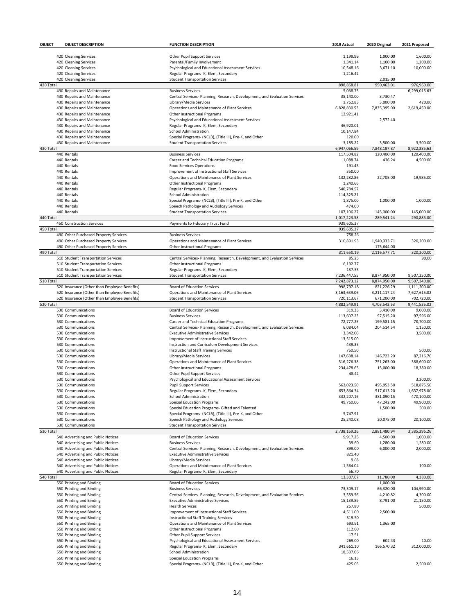| OBJECT    | <b>OBJECT DESCRIPTION</b>                    | <b>FUNCTION DESCRIPTION</b>                                                | 2019 Actual            | 2020 Original | 2021 Proposed              |
|-----------|----------------------------------------------|----------------------------------------------------------------------------|------------------------|---------------|----------------------------|
|           |                                              |                                                                            |                        |               |                            |
|           | 420 Cleaning Services                        | Other Pupil Support Services                                               | 1,199.99               | 1,000.00      | 1,600.00                   |
|           | 420 Cleaning Services                        | Parental/Family Involvement                                                | 1,341.14               | 1,100.00      | 1,200.00                   |
|           | 420 Cleaning Services                        | Psychological and Educational Assessment Services                          | 10,548.16              | 3,671.10      | 10,000.00                  |
|           | 420 Cleaning Services                        | Regular Programs- K, Elem, Secondary                                       | 1,216.42               |               |                            |
|           | 420 Cleaning Services                        | <b>Student Transportation Services</b>                                     |                        | 2,015.00      |                            |
| 420 Total | 430 Repairs and Maintenance                  | <b>Business Services</b>                                                   | 898,868.81<br>5,038.75 | 950,463.01    | 976,960.00<br>6,299,015.63 |
|           | 430 Repairs and Maintenance                  | Central Services- Planning, Research, Development, and Evaluation Services | 38,140.00              | 3,730.47      |                            |
|           | 430 Repairs and Maintenance                  | Library/Media Services                                                     | 1,762.83               | 3,000.00      | 420.00                     |
|           | 430 Repairs and Maintenance                  | Operations and Maintenance of Plant Services                               | 6,828,830.53           | 7,835,395.00  | 2,619,450.00               |
|           | 430 Repairs and Maintenance                  | Other Instructional Programs                                               | 12,921.41              |               |                            |
|           | 430 Repairs and Maintenance                  | Psychological and Educational Assessment Services                          |                        | 2,572.40      |                            |
|           | 430 Repairs and Maintenance                  | Regular Programs- K, Elem, Secondary                                       | 46,920.01              |               |                            |
|           | 430 Repairs and Maintenance                  | <b>School Administration</b>                                               | 10,147.84              |               |                            |
|           | 430 Repairs and Maintenance                  | Special Programs- (NCLB), (Title III), Pre-K, and Other                    | 120.00                 |               |                            |
|           | 430 Repairs and Maintenance                  | <b>Student Transportation Services</b>                                     | 3,185.22               | 3,500.00      | 3,500.00                   |
| 430 Total |                                              |                                                                            | 6,947,066.59           | 7,848,197.87  | 8.922.385.63               |
|           | 440 Rentals                                  | <b>Business Services</b>                                                   | 117,504.82             | 120,400.00    | 120.400.00                 |
|           | 440 Rentals                                  | Career and Technical Education Programs                                    | 1,088.74               | 436.24        | 4,500.00                   |
|           | 440 Rentals                                  | <b>Food Services Operations</b>                                            | 191.45                 |               |                            |
|           | 440 Rentals                                  | Improvement of Instructional Staff Services                                | 350.00                 |               |                            |
|           | 440 Rentals                                  | Operations and Maintenance of Plant Services                               | 132,282.86             | 22,705.00     | 19,985.00                  |
|           | 440 Rentals                                  | Other Instructional Programs                                               | 1,240.66               |               |                            |
|           | 440 Rentals                                  | Regular Programs- K, Elem, Secondary                                       | 540,784.57             |               |                            |
|           | 440 Rentals                                  | School Administration                                                      | 114,325.21             |               |                            |
|           | 440 Rentals                                  | Special Programs- (NCLB), (Title III), Pre-K, and Other                    | 1,875.00               | 1,000.00      | 1,000.00                   |
|           | 440 Rentals                                  | Speech Pathology and Audiology Services                                    | 474.00                 |               |                            |
|           | 440 Rentals                                  | <b>Student Transportation Services</b>                                     | 107,106.27             | 145,000.00    | 145,000.00                 |
| 440 Total |                                              |                                                                            | 1,017,223.58           | 289,541.24    | 290,885.00                 |
|           | 450 Construction Services                    | Payments to Fiduciary Trust Fund                                           | 939,605.37             |               |                            |
| 450 Total |                                              |                                                                            | 939,605.37             |               |                            |
|           | 490 Other Purchased Property Services        | <b>Business Services</b>                                                   | 758.26                 |               |                            |
|           | 490 Other Purchased Property Services        | Operations and Maintenance of Plant Services                               | 310,891.93             | 1,940,933.71  | 320,200.00                 |
|           | 490 Other Purchased Property Services        | Other Instructional Programs                                               |                        | 175,644.00    |                            |
| 490 Total |                                              |                                                                            | 311,650.19             | 2,116,577.71  | 320,200.00                 |
|           | 510 Student Transportation Services          | Central Services- Planning, Research, Development, and Evaluation Services | 95.25                  |               | 90.00                      |
|           | 510 Student Transportation Services          | Other Instructional Programs                                               | 6,192.77               |               |                            |
|           | 510 Student Transportation Services          | Regular Programs- K, Elem, Secondary                                       | 137.55                 |               |                            |
|           | 510 Student Transportation Services          | <b>Student Transportation Services</b>                                     | 7,236,447.55           | 8,874,950.00  | 9,507,250.00               |
| 510 Total |                                              |                                                                            | 7,242,873.12           | 8,874,950.00  | 9,507,340.00               |
|           | 520 Insurance (Other than Employee Benefits) | <b>Board of Education Services</b>                                         | 998,797.18             | 821,226.29    | 1,111,200.00               |
|           | 520 Insurance (Other than Employee Benefits) | Operations and Maintenance of Plant Services                               | 3,163,639.06           | 3,211,117.24  | 7,627,615.02               |
|           | 520 Insurance (Other than Employee Benefits) | <b>Student Transportation Services</b>                                     | 720,113.67             | 671,200.00    | 702,720.00                 |
| 520 Total |                                              |                                                                            | 4,882,549.91           | 4,703,543.53  | 9,441,535.02               |
|           | 530 Communications                           | <b>Board of Education Services</b>                                         | 319.33                 | 3,410.00      | 9,000.00                   |
|           | 530 Communications                           | <b>Business Services</b>                                                   | 113,607.23             | 97,515.20     | 97,596.00                  |
|           | 530 Communications                           | Career and Technical Education Programs                                    | 72,777.25              | 199,581.15    | 78,700.00                  |
|           | 530 Communications                           | Central Services- Planning, Research, Development, and Evaluation Services | 6,084.04               | 204,514.54    | 1,150.00                   |
|           | 530 Communications                           | <b>Executive Administrative Services</b>                                   | 3,342.00               |               | 3,500.00                   |
|           | 530 Communications                           | Improvement of Instructional Staff Services                                | 13,515.00              |               |                            |
|           | 530 Communications                           | Instruction and Curriculum Development Services                            | 439.35                 |               |                            |
|           | 530 Communications                           | <b>Instructional Staff Training Services</b>                               | 750.50                 |               | 500.00                     |
|           | 530 Communications                           | Library/Media Services                                                     | 147,688.14             | 146,723.20    | 87,216.76                  |
|           | 530 Communications                           | Operations and Maintenance of Plant Services                               | 516,276.38             | 751,263.00    | 388,600.00                 |
|           | 530 Communications                           | Other Instructional Programs                                               | 234,478.63             | 15,000.00     | 18,380.00                  |
|           | 530 Communications                           | <b>Other Pupil Support Services</b>                                        | 48.42                  |               |                            |
|           | 530 Communications                           | Psychological and Educational Assessment Services                          |                        |               | 3,300.00                   |
|           | 530 Communications                           | <b>Pupil Support Services</b>                                              | 562,023.50             | 495,953.50    | 518,875.50                 |
|           | 530 Communications                           | Regular Programs- K, Elem, Secondary                                       | 653,864.34             | 517,613.20    | 1,637,978.00               |
|           | 530 Communications                           | School Administration                                                      | 332,207.16             | 381,090.15    | 470,100.00                 |
|           | 530 Communications                           | <b>Special Education Programs</b>                                          | 49,760.00              | 47,242.00     | 49,900.00                  |
|           | 530 Communications                           | Special Education Programs- Gifted and Talented                            |                        | 1,500.00      | 500.00                     |
|           | 530 Communications                           | Special Programs- (NCLB), (Title III), Pre-K, and Other                    | 5,747.91               |               |                            |
|           | 530 Communications                           | Speech Pathology and Audiology Services                                    | 25,240.08              | 20,075.00     | 20,100.00                  |
|           | 530 Communications                           | <b>Student Transportation Services</b>                                     |                        |               |                            |
| 530 Total |                                              |                                                                            | 2,738,169.26           | 2,881,480.94  | 3,385,396.26               |
|           | 540 Advertising and Public Notices           | <b>Board of Education Services</b>                                         | 9,917.25               | 4,500.00      | 1,000.00                   |
|           | 540 Advertising and Public Notices           | <b>Business Services</b>                                                   | 39.60                  | 1,280.00      | 1,280.00                   |
|           | 540 Advertising and Public Notices           | Central Services- Planning, Research, Development, and Evaluation Services | 899.00                 | 6,000.00      | 2,000.00                   |
|           | 540 Advertising and Public Notices           | <b>Executive Administrative Services</b>                                   | 821.40                 |               |                            |
|           | 540 Advertising and Public Notices           | Library/Media Services                                                     | 9.68                   |               |                            |
|           | 540 Advertising and Public Notices           | Operations and Maintenance of Plant Services                               | 1,564.04               |               | 100.00                     |
|           | 540 Advertising and Public Notices           | Regular Programs- K, Elem, Secondary                                       | 56.70                  |               |                            |
| 540 Total |                                              |                                                                            | 13,307.67              | 11,780.00     | 4,380.00                   |
|           | 550 Printing and Binding                     | <b>Board of Education Services</b>                                         |                        | 1,000.00      |                            |
|           | 550 Printing and Binding                     | <b>Business Services</b>                                                   | 73,309.17              | 66,320.00     | 104,990.00                 |
|           | 550 Printing and Binding                     | Central Services- Planning, Research, Development, and Evaluation Services | 3,559.56               | 4,210.82      | 4,300.00                   |
|           | 550 Printing and Binding                     | <b>Executive Administrative Services</b>                                   | 15,139.89              | 8,791.00      | 21,150.00                  |
|           | 550 Printing and Binding                     | <b>Health Services</b>                                                     | 267.80                 |               | 500.00                     |
|           | 550 Printing and Binding                     | Improvement of Instructional Staff Services                                | 4,511.00               | 2,500.00      |                            |
|           | 550 Printing and Binding                     | <b>Instructional Staff Training Services</b>                               | 319.50                 |               |                            |
|           | 550 Printing and Binding                     | Operations and Maintenance of Plant Services                               | 693.91                 | 1,365.00      |                            |
|           | 550 Printing and Binding                     | Other Instructional Programs                                               | 112.00                 |               |                            |
|           | 550 Printing and Binding                     | Other Pupil Support Services                                               | 17.51                  |               |                            |
|           | 550 Printing and Binding                     | Psychological and Educational Assessment Services                          | 269.00                 | 602.43        | 10.00                      |
|           | 550 Printing and Binding                     | Regular Programs- K, Elem, Secondary                                       | 341,661.10             | 166,570.32    | 312,000.00                 |
|           | 550 Printing and Binding                     | School Administration                                                      | 18,507.06              |               |                            |
|           | 550 Printing and Binding                     | <b>Special Education Programs</b>                                          | 16.13                  |               |                            |
|           | 550 Printing and Binding                     | Special Programs- (NCLB), (Title III), Pre-K, and Other                    | 425.03                 |               | 2,500.00                   |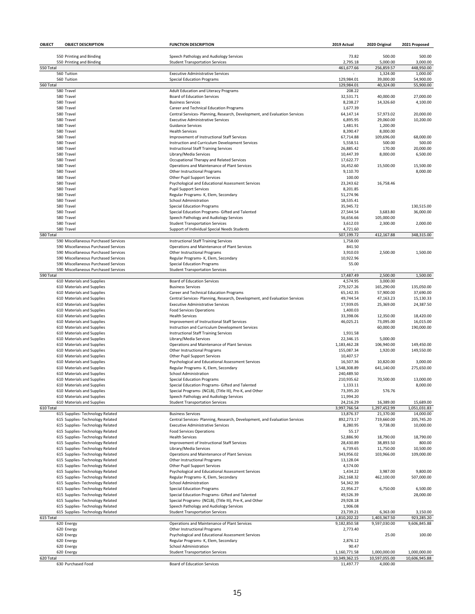| OBJECT    | <b>OBJECT DESCRIPTION</b>                                            | <b>FUNCTION DESCRIPTION</b>                                                                                            | 2019 Actual               | 2020 Original          | 2021 Proposed         |
|-----------|----------------------------------------------------------------------|------------------------------------------------------------------------------------------------------------------------|---------------------------|------------------------|-----------------------|
|           |                                                                      |                                                                                                                        |                           |                        |                       |
|           | 550 Printing and Binding                                             | Speech Pathology and Audiology Services                                                                                | 73.82                     | 500.00                 | 500.00                |
|           | 550 Printing and Binding                                             | <b>Student Transportation Services</b>                                                                                 | 2,795.18                  | 5.000.00               | 3,000.00              |
| 550 Total |                                                                      |                                                                                                                        | 461,677.66                | 256,859.57             | 448,950.00            |
|           | 560 Tuition                                                          | <b>Executive Administrative Services</b>                                                                               |                           | 1,324.00               | 1,000.00              |
|           | 560 Tuition                                                          | <b>Special Education Programs</b>                                                                                      | 129,984.01                | 39,000.00              | 54,900.00             |
| 560 Total |                                                                      |                                                                                                                        | 129,984.01                | 40,324.00              | 55,900.00             |
|           | 580 Travel                                                           | Adult Education and Literacy Programs                                                                                  | 208.22                    |                        |                       |
|           | 580 Travel<br>580 Travel                                             | <b>Board of Education Services</b><br><b>Business Services</b>                                                         | 32,531.71<br>8,238.27     | 40,000.00<br>14,326.60 | 27,000.00<br>4,100.00 |
|           | 580 Travel                                                           |                                                                                                                        | 1,677.39                  |                        |                       |
|           |                                                                      | Career and Technical Education Programs                                                                                |                           |                        | 20,000.00             |
|           | 580 Travel<br>580 Travel                                             | Central Services- Planning, Research, Development, and Evaluation Services<br><b>Executive Administrative Services</b> | 64,147.14<br>6,895.95     | 57,973.02<br>29,060.00 | 10,200.00             |
|           | 580 Travel                                                           | <b>Guidance Services</b>                                                                                               | 1,481.91                  | 1,200.00               |                       |
|           | 580 Travel                                                           | <b>Health Services</b>                                                                                                 | 8,390.47                  | 8,000.00               |                       |
|           | 580 Travel                                                           | Improvement of Instructional Staff Services                                                                            | 67,714.88                 | 109,696.00             | 68,000.00             |
|           | 580 Travel                                                           | Instruction and Curriculum Development Services                                                                        | 5,558.51                  | 500.00                 | 500.00                |
|           | 580 Travel                                                           | <b>Instructional Staff Training Services</b>                                                                           | 26,885.42                 | 170.00                 | 20,000.00             |
|           | 580 Travel                                                           | Library/Media Services                                                                                                 | 10,447.39                 | 8,000.00               | 6,500.00              |
|           | 580 Travel                                                           | Occupational Therapy and Related Services                                                                              | 17,622.77                 |                        |                       |
|           | 580 Travel                                                           | Operations and Maintenance of Plant Services                                                                           | 16,452.60                 | 15,500.00              | 15,500.00             |
|           | 580 Travel                                                           | Other Instructional Programs                                                                                           | 9,110.70                  |                        | 8,000.00              |
|           | 580 Travel                                                           | <b>Other Pupil Support Services</b>                                                                                    | 100.00                    |                        |                       |
|           | 580 Travel                                                           | Psychological and Educational Assessment Services                                                                      | 23,243.62                 | 16,758.46              |                       |
|           | 580 Travel                                                           | <b>Pupil Support Services</b>                                                                                          | 8,201.85                  |                        |                       |
|           | 580 Travel                                                           | Regular Programs- K, Elem, Secondary                                                                                   | 51,274.96                 |                        |                       |
|           | 580 Travel                                                           | School Administration                                                                                                  | 18,535.41                 |                        |                       |
|           | 580 Travel                                                           | <b>Special Education Programs</b>                                                                                      | 35,945.72                 |                        | 130,515.00            |
|           | 580 Travel                                                           | Special Education Programs- Gifted and Talented                                                                        | 27,544.54                 | 3,683.80               | 36,000.00             |
|           | 580 Travel                                                           | Speech Pathology and Audiology Services                                                                                | 56,656.66                 | 105,000.00             |                       |
|           | 580 Travel                                                           | <b>Student Transportation Services</b>                                                                                 | 3,612.03                  | 2,300.00               | 2,000.00              |
|           | 580 Travel                                                           | Support of Individual Special Needs Students                                                                           | 4,721.60                  |                        |                       |
| 580 Total |                                                                      |                                                                                                                        | 507,199.72                | 412,167.88             | 348,315.00            |
|           | 590 Miscellaneous Purchased Services                                 | <b>Instructional Staff Training Services</b>                                                                           | 1,758.00                  |                        |                       |
|           | 590 Miscellaneous Purchased Services                                 | Operations and Maintenance of Plant Services                                                                           | 841.50                    |                        |                       |
|           | 590 Miscellaneous Purchased Services                                 | Other Instructional Programs                                                                                           | 3,910.03                  | 2,500.00               | 1,500.00              |
|           | 590 Miscellaneous Purchased Services                                 | Regular Programs- K, Elem, Secondary                                                                                   | 10,922.96                 |                        |                       |
|           | 590 Miscellaneous Purchased Services                                 | <b>Special Education Programs</b>                                                                                      | 55.00                     |                        |                       |
|           | 590 Miscellaneous Purchased Services                                 | <b>Student Transportation Services</b>                                                                                 |                           |                        |                       |
| 590 Total |                                                                      |                                                                                                                        | 17,487.49                 | 2,500.00               | 1,500.00              |
|           | 610 Materials and Supplies                                           | <b>Board of Education Services</b>                                                                                     | 4,574.95                  | 3,000.00               |                       |
|           | 610 Materials and Supplies                                           | <b>Business Services</b>                                                                                               | 279,327.26                | 165,290.00             | 135,050.00            |
|           | 610 Materials and Supplies                                           | Career and Technical Education Programs                                                                                | 65,142.35                 | 57,900.00              | 37,690.00             |
|           | 610 Materials and Supplies                                           | Central Services- Planning, Research, Development, and Evaluation Services                                             | 49,744.54                 | 47,163.23              | 15,130.33             |
|           | 610 Materials and Supplies                                           | <b>Executive Administrative Services</b>                                                                               | 17,939.05                 | 25,369.00              | 24,387.50             |
|           | 610 Materials and Supplies                                           | <b>Food Services Operations</b>                                                                                        | 1,400.03                  |                        |                       |
|           | 610 Materials and Supplies                                           | <b>Health Services</b>                                                                                                 | 33,398.06                 | 12,350.00              | 18,420.00             |
|           | 610 Materials and Supplies                                           | Improvement of Instructional Staff Services                                                                            | 46,025.21                 | 73,095.00              | 16,015.00             |
|           | 610 Materials and Supplies                                           | Instruction and Curriculum Development Services                                                                        |                           | 60,000.00              | 190,000.00            |
|           | 610 Materials and Supplies                                           | <b>Instructional Staff Training Services</b>                                                                           | 1,931.58                  |                        |                       |
|           | 610 Materials and Supplies                                           | Library/Media Services                                                                                                 | 22,346.15                 | 5,000.00               |                       |
|           | 610 Materials and Supplies                                           | Operations and Maintenance of Plant Services                                                                           | 1,183,462.28              | 106,940.00             | 149,450.00            |
|           | 610 Materials and Supplies                                           | Other Instructional Programs                                                                                           | 155,087.34                | 1,920.00               | 149,550.00            |
|           | 610 Materials and Supplies                                           | <b>Other Pupil Support Services</b>                                                                                    | 10,407.57                 |                        |                       |
|           | 610 Materials and Supplies                                           | Psychological and Educational Assessment Services                                                                      | 16,507.36                 | 10,820.00              | 3,000.00              |
|           | 610 Materials and Supplies                                           | Regular Programs- K, Elem, Secondary                                                                                   | 1,548,308.89              | 641,140.00             | 275,650.00            |
|           | 610 Materials and Supplies                                           | School Administration                                                                                                  | 240,489.50                |                        |                       |
|           | 610 Materials and Supplies                                           | <b>Special Education Programs</b>                                                                                      | 210,935.62                | 70,500.00              | 13,000.00             |
|           | 610 Materials and Supplies                                           | Special Education Programs- Gifted and Talented                                                                        | 1,133.11                  |                        | 8,000.00              |
|           | 610 Materials and Supplies                                           | Special Programs- (NCLB), (Title III), Pre-K, and Other                                                                | 73,395.20                 | 576.76                 |                       |
|           | 610 Materials and Supplies                                           | Speech Pathology and Audiology Services                                                                                | 11,994.20                 |                        |                       |
|           | 610 Materials and Supplies                                           | <b>Student Transportation Services</b>                                                                                 | 24,216.29<br>3,997,766.54 | 16,389.00              | 15,689.00             |
| 610 Total |                                                                      |                                                                                                                        |                           | 1,297,452.99           | 1,051,031.83          |
|           | 615 Supplies- Technology Related                                     | <b>Business Services</b>                                                                                               | 13,876.37                 | 21,370.00              | 14,000.00             |
|           | 615 Supplies- Technology Related                                     | Central Services- Planning, Research, Development, and Evaluation Services                                             | 892,273.17                | 719,660.00<br>9,738.00 | 205,745.20            |
|           | 615 Supplies- Technology Related<br>615 Supplies- Technology Related | <b>Executive Administrative Services</b><br><b>Food Services Operations</b>                                            | 8,280.95<br>55.17         |                        | 10,000.00             |
|           | 615 Supplies- Technology Related                                     | <b>Health Services</b>                                                                                                 | 52,886.90                 | 18,790.00              | 18,790.00             |
|           | 615 Supplies- Technology Related                                     | Improvement of Instructional Staff Services                                                                            | 28,430.89                 | 38,893.50              | 800.00                |
|           | 615 Supplies- Technology Related                                     | Library/Media Services                                                                                                 | 6,739.65                  | 11,750.00              | 10,500.00             |
|           | 615 Supplies- Technology Related                                     | Operations and Maintenance of Plant Services                                                                           | 343,956.02                | 103,966.00             | 109,000.00            |
|           | 615 Supplies- Technology Related                                     | <b>Other Instructional Programs</b>                                                                                    | 13,128.04                 |                        |                       |
|           | 615 Supplies- Technology Related                                     | Other Pupil Support Services                                                                                           | 4,574.00                  |                        |                       |
|           | 615 Supplies- Technology Related                                     | Psychological and Educational Assessment Services                                                                      | 1,434.22                  | 3,987.00               | 9,800.00              |
|           | 615 Supplies- Technology Related                                     | Regular Programs- K, Elem, Secondary                                                                                   | 262,168.32                | 462,100.00             | 507,000.00            |
|           | 615 Supplies- Technology Related                                     | School Administration                                                                                                  | 54,342.39                 |                        |                       |
|           | 615 Supplies- Technology Related                                     | <b>Special Education Programs</b>                                                                                      | 22,956.27                 | 6,750.00               | 6,500.00              |
|           | 615 Supplies- Technology Related                                     | Special Education Programs- Gifted and Talented                                                                        | 49,526.39                 |                        | 28,000.00             |
|           | 615 Supplies- Technology Related                                     | Special Programs- (NCLB), (Title III), Pre-K, and Other                                                                | 29,928.18                 |                        |                       |
|           | 615 Supplies- Technology Related                                     | Speech Pathology and Audiology Services                                                                                | 1,906.08                  |                        |                       |
|           | 615 Supplies- Technology Related                                     | <b>Student Transportation Services</b>                                                                                 | 23,739.21                 | 6,363.00               | 3,150.00              |
| 615 Total |                                                                      |                                                                                                                        | 1,810,202.22              | 1,403,367.50           | 923,285.20            |
|           | 620 Energy                                                           | Operations and Maintenance of Plant Services                                                                           | 9,182,850.58              | 9,597,030.00           | 9,606,845.88          |
|           | 620 Energy                                                           | <b>Other Instructional Programs</b>                                                                                    | 2,773.40                  |                        |                       |
|           | 620 Energy                                                           | Psychological and Educational Assessment Services                                                                      |                           | 25.00                  | 100.00                |
|           | 620 Energy                                                           | Regular Programs- K, Elem, Secondary                                                                                   | 2,876.12                  |                        |                       |
|           | 620 Energy                                                           | School Administration                                                                                                  | 90.47                     |                        |                       |
|           | 620 Energy                                                           | <b>Student Transportation Services</b>                                                                                 | 1,160,771.58              | 1,000,000.00           | 1,000,000.00          |
| 620 Total |                                                                      |                                                                                                                        | 10,349,362.15             | 10,597,055.00          | 10,606,945.88         |
|           | 630 Purchased Food                                                   | <b>Board of Education Services</b>                                                                                     | 11,497.77                 | 4,000.00               |                       |